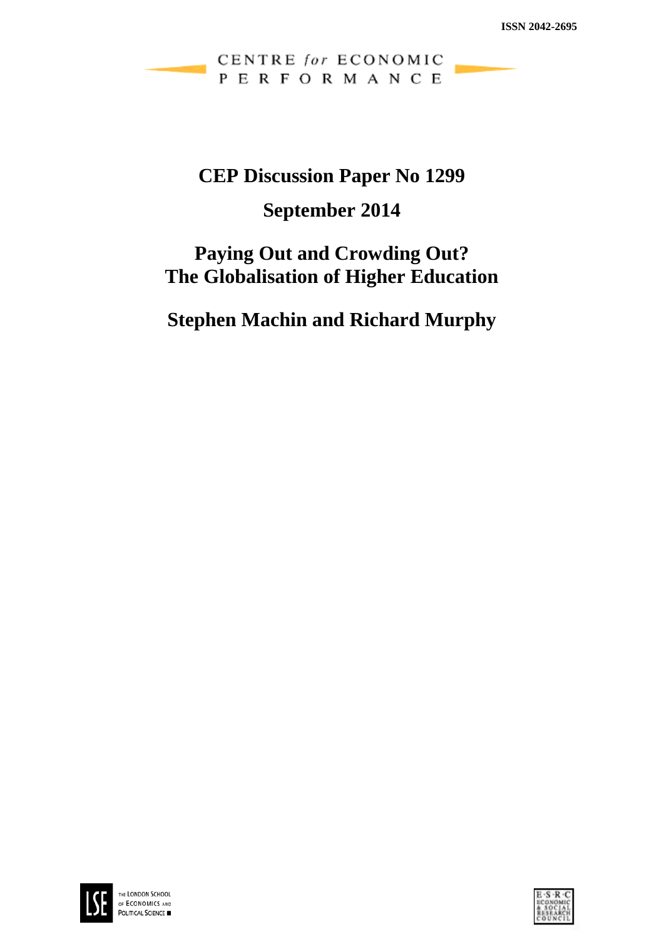CENTRE for ECONOMIC PERFORMANCE

# **CEP Discussion Paper No 1299**

# **September 2014**

# **Paying Out and Crowding Out? The Globalisation of Higher Education**

**Stephen Machin and Richard Murphy**



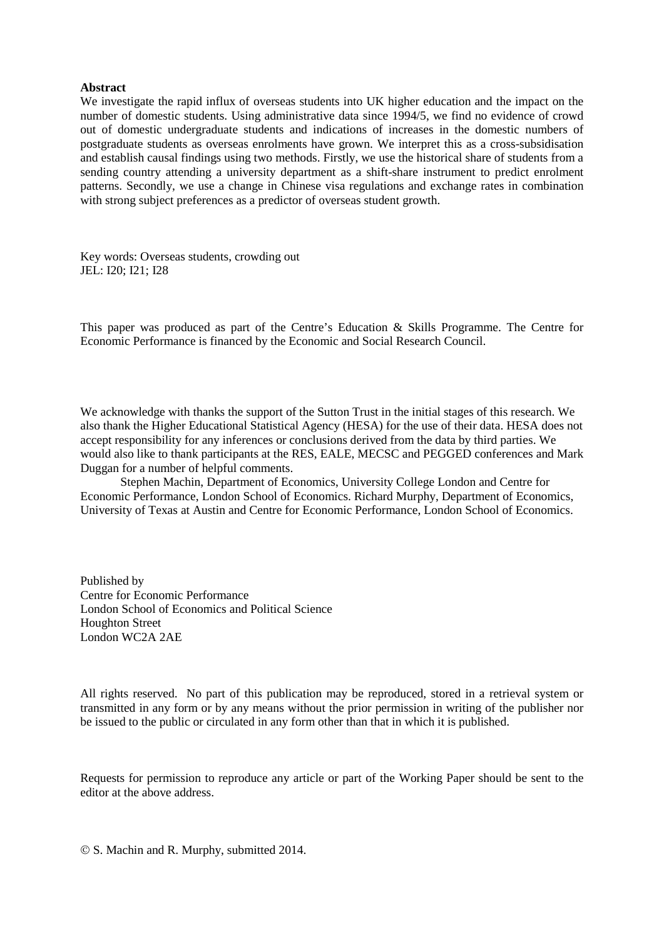#### **Abstract**

We investigate the rapid influx of overseas students into UK higher education and the impact on the number of domestic students. Using administrative data since 1994/5, we find no evidence of crowd out of domestic undergraduate students and indications of increases in the domestic numbers of postgraduate students as overseas enrolments have grown. We interpret this as a cross-subsidisation and establish causal findings using two methods. Firstly, we use the historical share of students from a sending country attending a university department as a shift-share instrument to predict enrolment patterns. Secondly, we use a change in Chinese visa regulations and exchange rates in combination with strong subject preferences as a predictor of overseas student growth.

Key words: Overseas students, crowding out JEL: I20; I21; I28

This paper was produced as part of the Centre's Education & Skills Programme. The Centre for Economic Performance is financed by the Economic and Social Research Council.

We acknowledge with thanks the support of the Sutton Trust in the initial stages of this research. We also thank the Higher Educational Statistical Agency (HESA) for the use of their data. HESA does not accept responsibility for any inferences or conclusions derived from the data by third parties. We would also like to thank participants at the RES, EALE, MECSC and PEGGED conferences and Mark Duggan for a number of helpful comments.

Stephen Machin, Department of Economics, University College London and Centre for Economic Performance, London School of Economics. Richard Murphy, Department of Economics, University of Texas at Austin and Centre for Economic Performance, London School of Economics.

Published by Centre for Economic Performance London School of Economics and Political Science Houghton Street London WC2A 2AE

All rights reserved. No part of this publication may be reproduced, stored in a retrieval system or transmitted in any form or by any means without the prior permission in writing of the publisher nor be issued to the public or circulated in any form other than that in which it is published.

Requests for permission to reproduce any article or part of the Working Paper should be sent to the editor at the above address.

S. Machin and R. Murphy, submitted 2014.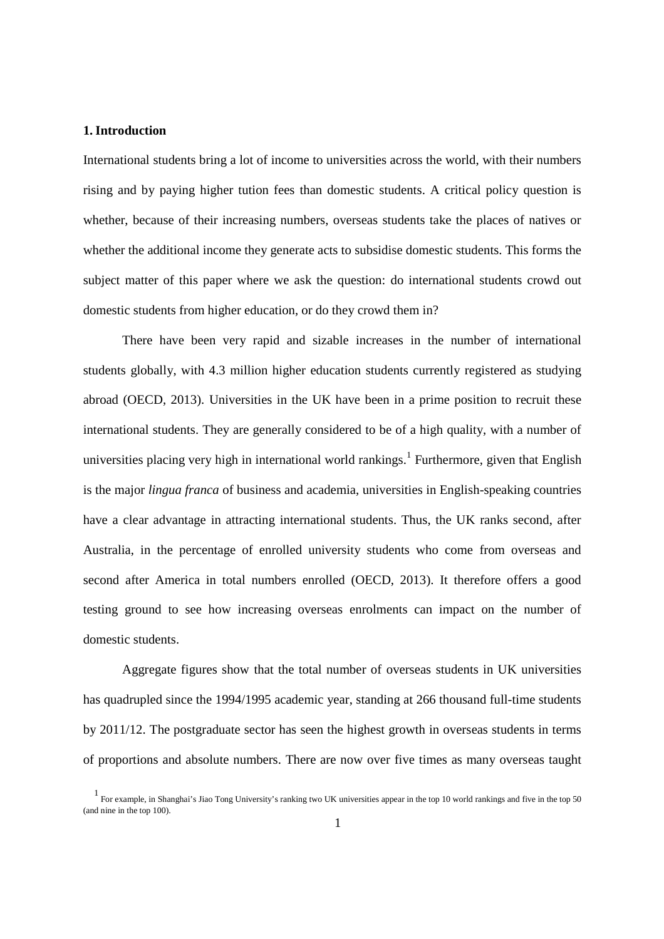## **1.Introduction**

International students bring a lot of income to universities across the world, with their numbers rising and by paying higher tution fees than domestic students. A critical policy question is whether, because of their increasing numbers, overseas students take the places of natives or whether the additional income they generate acts to subsidise domestic students. This forms the subject matter of this paper where we ask the question: do international students crowd out domestic students from higher education, or do they crowd them in?

There have been very rapid and sizable increases in the number of international students globally, with 4.3 million higher education students currently registered as studying abroad (OECD, 2013). Universities in the UK have been in a prime position to recruit these international students. They are generally considered to be of a high quality, with a number of universities placing very high in international world rankings.<sup>1</sup> Furthermore, given that English is the major *lingua franca* of business and academia, universities in English-speaking countries have a clear advantage in attracting international students. Thus, the UK ranks second, after Australia, in the percentage of enrolled university students who come from overseas and second after America in total numbers enrolled (OECD, 2013). It therefore offers a good testing ground to see how increasing overseas enrolments can impact on the number of domestic students.

Aggregate figures show that the total number of overseas students in UK universities has quadrupled since the 1994/1995 academic year, standing at 266 thousand full-time students by 2011/12. The postgraduate sector has seen the highest growth in overseas students in terms of proportions and absolute numbers. There are now over five times as many overseas taught

<sup>&</sup>lt;sup>1</sup> For example, in Shanghai's Jiao Tong University's ranking two UK universities appear in the top 10 world rankings and five in the top 50 (and nine in the top 100).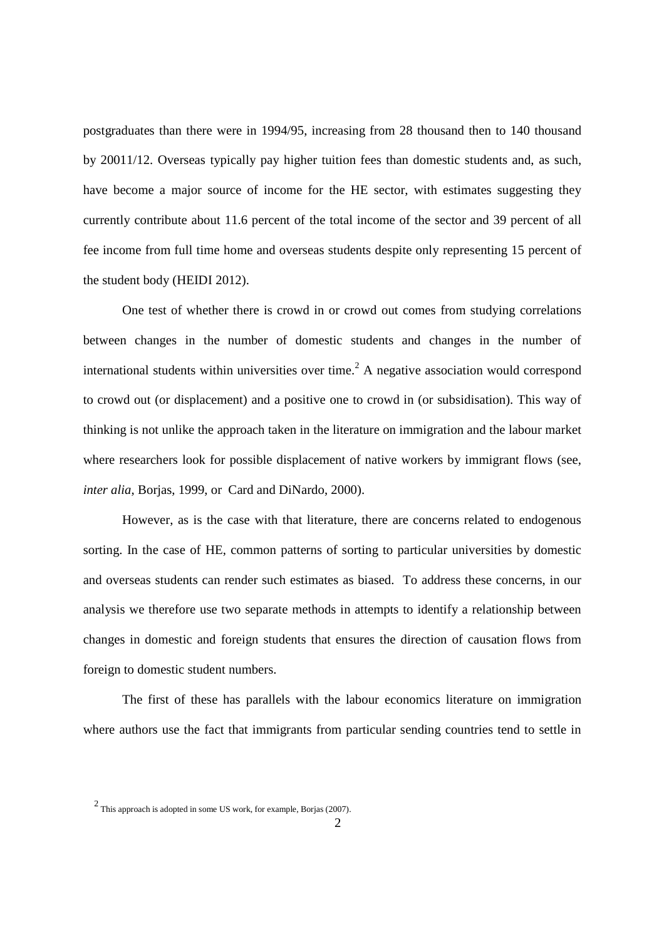postgraduates than there were in 1994/95, increasing from 28 thousand then to 140 thousand by 20011/12. Overseas typically pay higher tuition fees than domestic students and, as such, have become a major source of income for the HE sector, with estimates suggesting they currently contribute about 11.6 percent of the total income of the sector and 39 percent of all fee income from full time home and overseas students despite only representing 15 percent of the student body (HEIDI 2012).

One test of whether there is crowd in or crowd out comes from studying correlations between changes in the number of domestic students and changes in the number of international students within universities over time.<sup>2</sup> A negative association would correspond to crowd out (or displacement) and a positive one to crowd in (or subsidisation). This way of thinking is not unlike the approach taken in the literature on immigration and the labour market where researchers look for possible displacement of native workers by immigrant flows (see, *inter alia*, Borjas, 1999, or Card and DiNardo, 2000).

However, as is the case with that literature, there are concerns related to endogenous sorting. In the case of HE, common patterns of sorting to particular universities by domestic and overseas students can render such estimates as biased. To address these concerns, in our analysis we therefore use two separate methods in attempts to identify a relationship between changes in domestic and foreign students that ensures the direction of causation flows from foreign to domestic student numbers.

The first of these has parallels with the labour economics literature on immigration where authors use the fact that immigrants from particular sending countries tend to settle in

<sup>&</sup>lt;sup>2</sup> This approach is adopted in some US work, for example, Borjas (2007).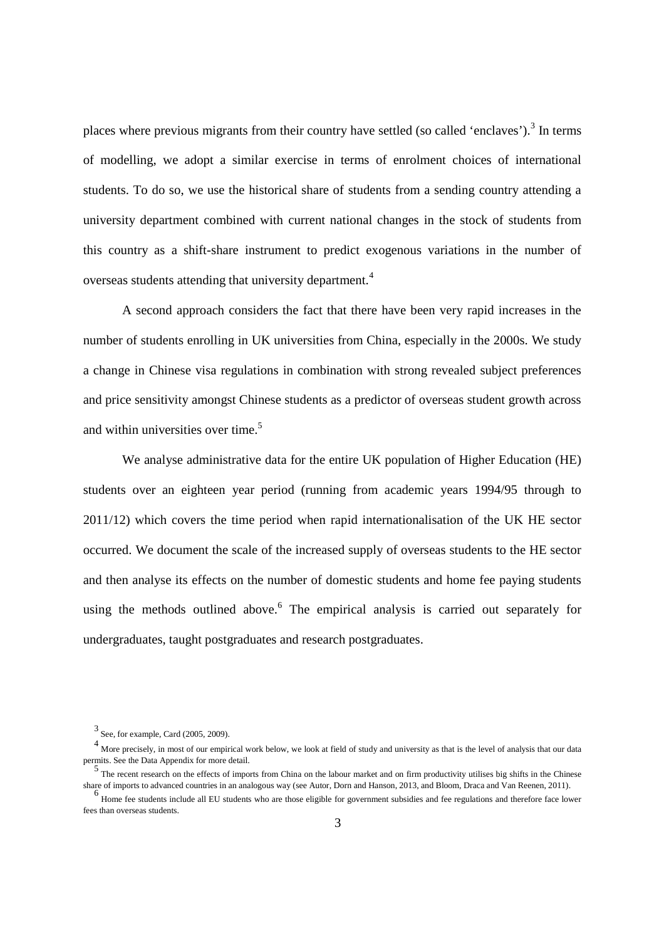places where previous migrants from their country have settled (so called 'enclaves').<sup>3</sup> In terms of modelling, we adopt a similar exercise in terms of enrolment choices of international students. To do so, we use the historical share of students from a sending country attending a university department combined with current national changes in the stock of students from this country as a shift-share instrument to predict exogenous variations in the number of overseas students attending that university department.<sup>4</sup>

A second approach considers the fact that there have been very rapid increases in the number of students enrolling in UK universities from China, especially in the 2000s. We study a change in Chinese visa regulations in combination with strong revealed subject preferences and price sensitivity amongst Chinese students as a predictor of overseas student growth across and within universities over time.<sup>5</sup>

We analyse administrative data for the entire UK population of Higher Education (HE) students over an eighteen year period (running from academic years 1994/95 through to 2011/12) which covers the time period when rapid internationalisation of the UK HE sector occurred. We document the scale of the increased supply of overseas students to the HE sector and then analyse its effects on the number of domestic students and home fee paying students using the methods outlined above.<sup>6</sup> The empirical analysis is carried out separately for undergraduates, taught postgraduates and research postgraduates.

<sup>3</sup> See, for example, Card (2005, 2009).

<sup>4</sup> More precisely, in most of our empirical work below, we look at field of study and university as that is the level of analysis that our data permits. See the Data Appendix for more detail.

<sup>5&</sup>lt;br>The recent research on the effects of imports from China on the labour market and on firm productivity utilises big shifts in the Chinese share of imports to advanced countries in an analogous way (see Autor, Dorn and Hanson, 2013, and Bloom, Draca and Van Reenen, 2011).

Home fee students include all EU students who are those eligible for government subsidies and fee regulations and therefore face lower fees than overseas students.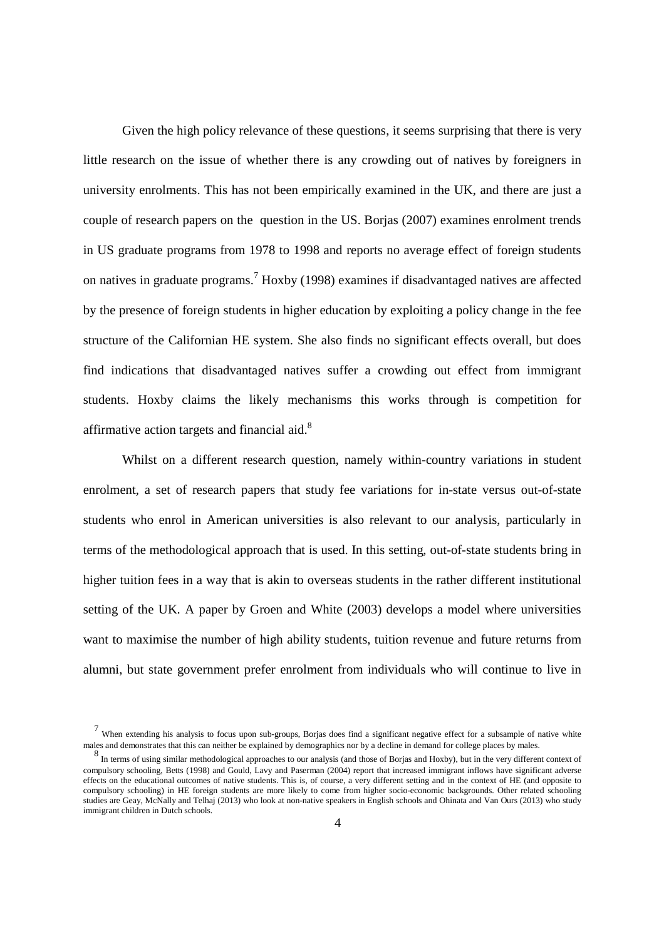Given the high policy relevance of these questions, it seems surprising that there is very little research on the issue of whether there is any crowding out of natives by foreigners in university enrolments. This has not been empirically examined in the UK, and there are just a couple of research papers on the question in the US. Borjas (2007) examines enrolment trends in US graduate programs from 1978 to 1998 and reports no average effect of foreign students on natives in graduate programs.<sup>7</sup> Hoxby (1998) examines if disadvantaged natives are affected by the presence of foreign students in higher education by exploiting a policy change in the fee structure of the Californian HE system. She also finds no significant effects overall, but does find indications that disadvantaged natives suffer a crowding out effect from immigrant students. Hoxby claims the likely mechanisms this works through is competition for affirmative action targets and financial aid.<sup>8</sup>

Whilst on a different research question, namely within-country variations in student enrolment, a set of research papers that study fee variations for in-state versus out-of-state students who enrol in American universities is also relevant to our analysis, particularly in terms of the methodological approach that is used. In this setting, out-of-state students bring in higher tuition fees in a way that is akin to overseas students in the rather different institutional setting of the UK. A paper by Groen and White (2003) develops a model where universities want to maximise the number of high ability students, tuition revenue and future returns from alumni, but state government prefer enrolment from individuals who will continue to live in

<sup>7</sup> When extending his analysis to focus upon sub-groups, Borjas does find a significant negative effect for a subsample of native white males and demonstrates that this can neither be explained by demographics nor by a decline in demand for college places by males.

<sup>8</sup> In terms of using similar methodological approaches to our analysis (and those of Borjas and Hoxby), but in the very different context of compulsory schooling, Betts (1998) and Gould, Lavy and Paserman (2004) report that increased immigrant inflows have significant adverse effects on the educational outcomes of native students. This is, of course, a very different setting and in the context of HE (and opposite to compulsory schooling) in HE foreign students are more likely to come from higher socio-economic backgrounds. Other related schooling studies are Geay, McNally and Telhaj (2013) who look at non-native speakers in English schools and Ohinata and Van Ours (2013) who study immigrant children in Dutch schools.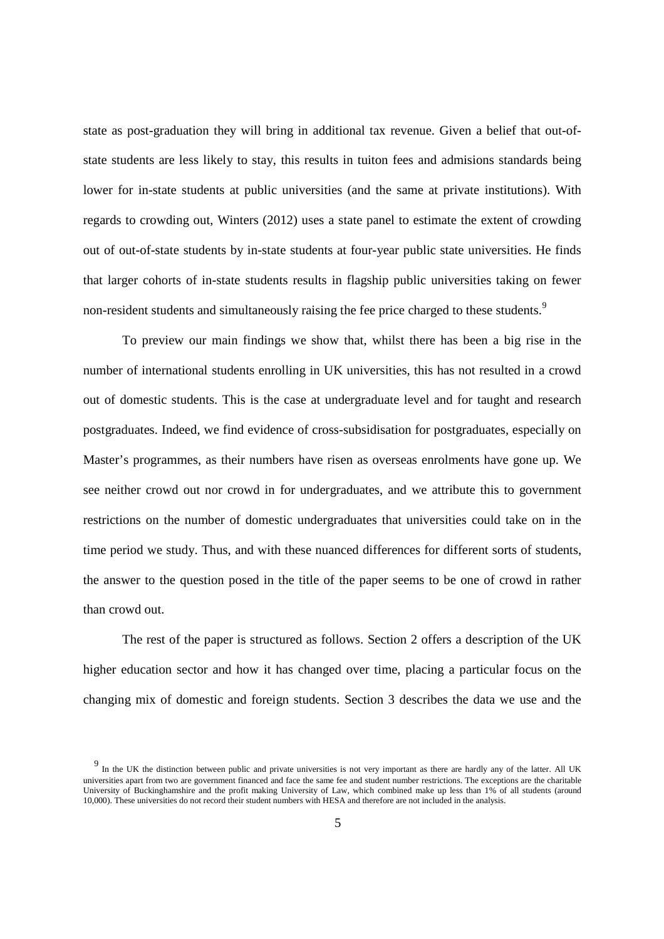state as post-graduation they will bring in additional tax revenue. Given a belief that out-ofstate students are less likely to stay, this results in tuiton fees and admisions standards being lower for in-state students at public universities (and the same at private institutions). With regards to crowding out, Winters (2012) uses a state panel to estimate the extent of crowding out of out-of-state students by in-state students at four-year public state universities. He finds that larger cohorts of in-state students results in flagship public universities taking on fewer non-resident students and simultaneously raising the fee price charged to these students.<sup>9</sup>

To preview our main findings we show that, whilst there has been a big rise in the number of international students enrolling in UK universities, this has not resulted in a crowd out of domestic students. This is the case at undergraduate level and for taught and research postgraduates. Indeed, we find evidence of cross-subsidisation for postgraduates, especially on Master's programmes, as their numbers have risen as overseas enrolments have gone up. We see neither crowd out nor crowd in for undergraduates, and we attribute this to government restrictions on the number of domestic undergraduates that universities could take on in the time period we study. Thus, and with these nuanced differences for different sorts of students, the answer to the question posed in the title of the paper seems to be one of crowd in rather than crowd out.

The rest of the paper is structured as follows. Section 2 offers a description of the UK higher education sector and how it has changed over time, placing a particular focus on the changing mix of domestic and foreign students. Section 3 describes the data we use and the

<sup>&</sup>lt;sup>9</sup> In the UK the distinction between public and private universities is not very important as there are hardly any of the latter. All UK universities apart from two are government financed and face the same fee and student number restrictions. The exceptions are the charitable University of Buckinghamshire and the profit making University of Law, which combined make up less than 1% of all students (around 10,000). These universities do not record their student numbers with HESA and therefore are not included in the analysis.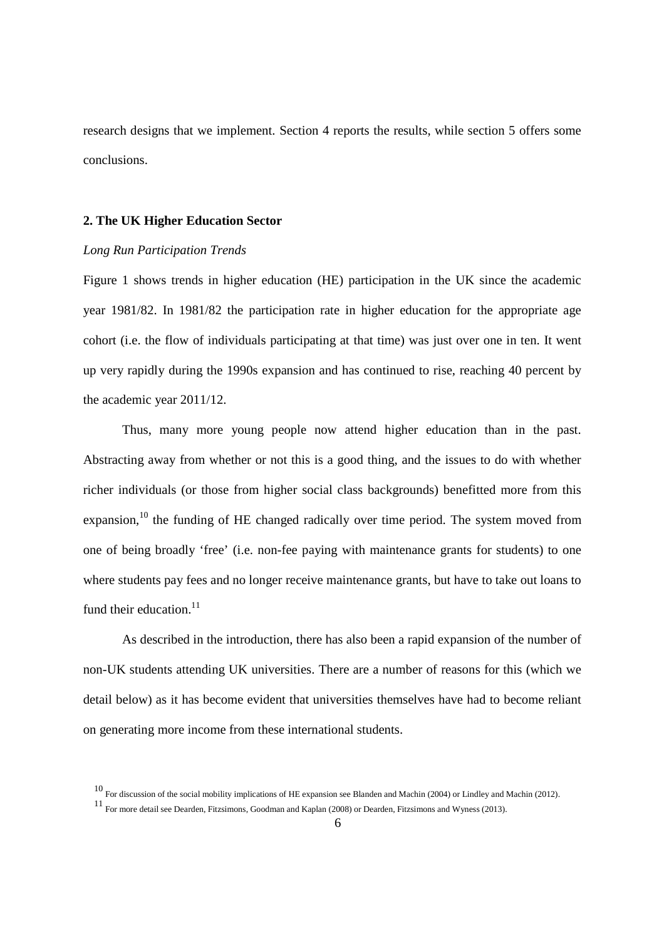research designs that we implement. Section 4 reports the results, while section 5 offers some conclusions.

#### **2. The UK Higher Education Sector**

#### *Long Run Participation Trends*

Figure 1 shows trends in higher education (HE) participation in the UK since the academic year 1981/82. In 1981/82 the participation rate in higher education for the appropriate age cohort (i.e. the flow of individuals participating at that time) was just over one in ten. It went up very rapidly during the 1990s expansion and has continued to rise, reaching 40 percent by the academic year 2011/12.

Thus, many more young people now attend higher education than in the past. Abstracting away from whether or not this is a good thing, and the issues to do with whether richer individuals (or those from higher social class backgrounds) benefitted more from this expansion.<sup>10</sup> the funding of HE changed radically over time period. The system moved from one of being broadly 'free' (i.e. non-fee paying with maintenance grants for students) to one where students pay fees and no longer receive maintenance grants, but have to take out loans to fund their education. $^{11}$ 

As described in the introduction, there has also been a rapid expansion of the number of non-UK students attending UK universities. There are a number of reasons for this (which we detail below) as it has become evident that universities themselves have had to become reliant on generating more income from these international students.

<sup>10</sup> For discussion of the social mobility implications of HE expansion see Blanden and Machin (2004) or Lindley and Machin (2012).

<sup>11</sup> For more detail see Dearden, Fitzsimons, Goodman and Kaplan (2008) or Dearden, Fitzsimons and Wyness (2013).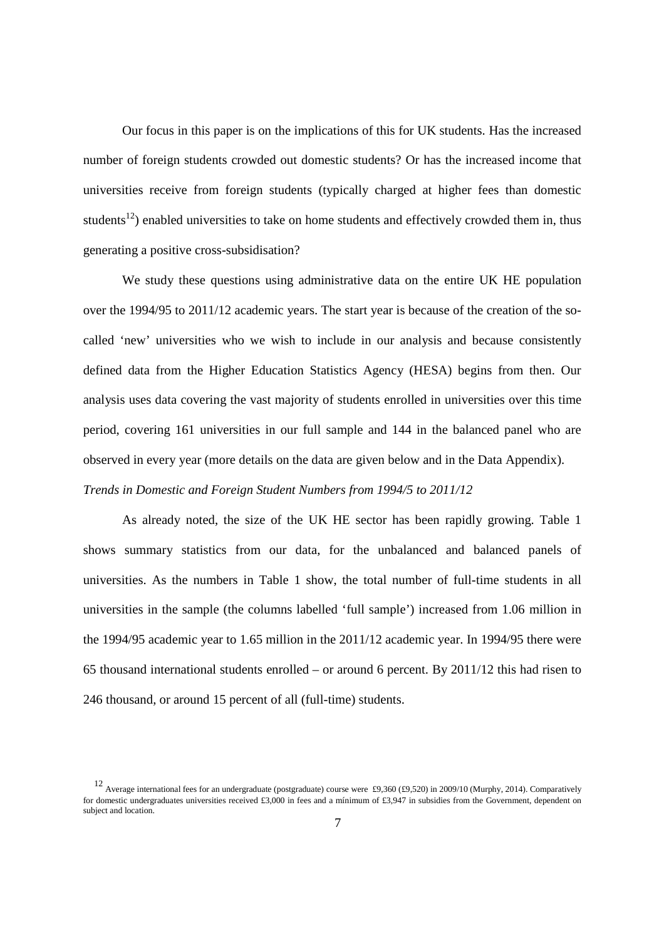Our focus in this paper is on the implications of this for UK students. Has the increased number of foreign students crowded out domestic students? Or has the increased income that universities receive from foreign students (typically charged at higher fees than domestic students<sup>12</sup>) enabled universities to take on home students and effectively crowded them in, thus generating a positive cross-subsidisation?

We study these questions using administrative data on the entire UK HE population over the 1994/95 to 2011/12 academic years. The start year is because of the creation of the socalled 'new' universities who we wish to include in our analysis and because consistently defined data from the Higher Education Statistics Agency (HESA) begins from then. Our analysis uses data covering the vast majority of students enrolled in universities over this time period, covering 161 universities in our full sample and 144 in the balanced panel who are observed in every year (more details on the data are given below and in the Data Appendix). *Trends in Domestic and Foreign Student Numbers from 1994/5 to 2011/12*

As already noted, the size of the UK HE sector has been rapidly growing. Table 1 shows summary statistics from our data, for the unbalanced and balanced panels of universities. As the numbers in Table 1 show, the total number of full-time students in all universities in the sample (the columns labelled 'full sample') increased from 1.06 million in the 1994/95 academic year to 1.65 million in the 2011/12 academic year. In 1994/95 there were 65 thousand international students enrolled – or around 6 percent. By 2011/12 this had risen to 246 thousand, or around 15 percent of all (full-time) students.

<sup>12</sup> Average international fees for an undergraduate (postgraduate) course were £9,360 (£9,520) in 2009/10 (Murphy, 2014). Comparatively for domestic undergraduates universities received £3,000 in fees and a mínimum of £3,947 in subsidies from the Government, dependent on subject and location.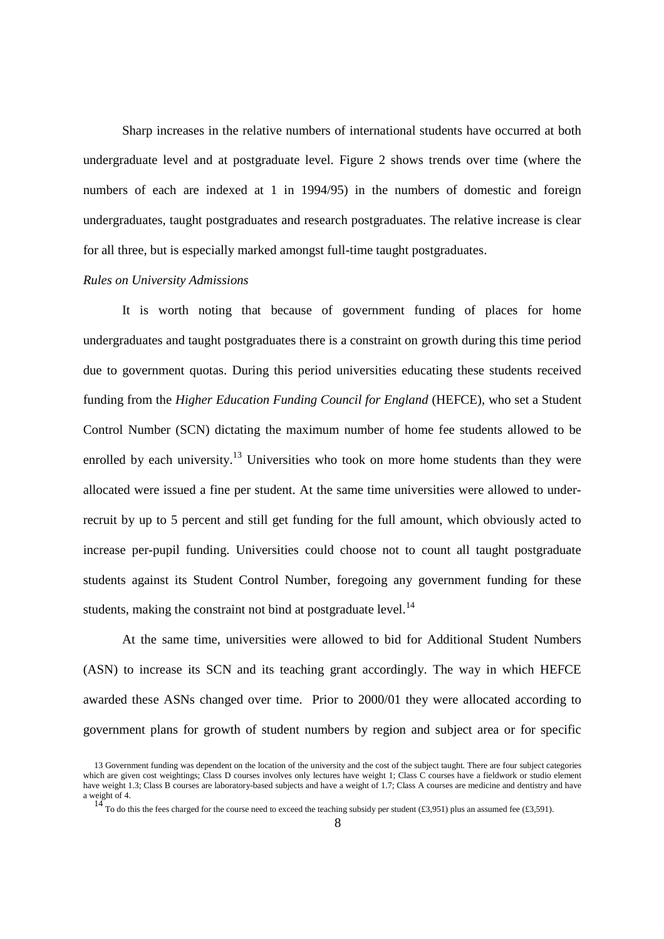Sharp increases in the relative numbers of international students have occurred at both undergraduate level and at postgraduate level. Figure 2 shows trends over time (where the numbers of each are indexed at 1 in 1994/95) in the numbers of domestic and foreign undergraduates, taught postgraduates and research postgraduates. The relative increase is clear for all three, but is especially marked amongst full-time taught postgraduates.

#### *Rules on University Admissions*

It is worth noting that because of government funding of places for home undergraduates and taught postgraduates there is a constraint on growth during this time period due to government quotas. During this period universities educating these students received funding from the *Higher Education Funding Council for England* (HEFCE), who set a Student Control Number (SCN) dictating the maximum number of home fee students allowed to be enrolled by each university.<sup>13</sup> Universities who took on more home students than they were allocated were issued a fine per student. At the same time universities were allowed to underrecruit by up to 5 percent and still get funding for the full amount, which obviously acted to increase per-pupil funding. Universities could choose not to count all taught postgraduate students against its Student Control Number, foregoing any government funding for these students, making the constraint not bind at postgraduate level. $^{14}$ 

At the same time, universities were allowed to bid for Additional Student Numbers (ASN) to increase its SCN and its teaching grant accordingly. The way in which HEFCE awarded these ASNs changed over time. Prior to 2000/01 they were allocated according to government plans for growth of student numbers by region and subject area or for specific

<sup>13</sup> Government funding was dependent on the location of the university and the cost of the subject taught. There are four subject categories which are given cost weightings; Class D courses involves only lectures have weight 1; Class C courses have a fieldwork or studio element have weight 1.3; Class B courses are laboratory-based subjects and have a weight of 1.7; Class A courses are medicine and dentistry and have a weight of 4.<br> $\frac{14}{3}$ 

To do this the fees charged for the course need to exceed the teaching subsidy per student  $(£3,951)$  plus an assumed fee  $(£3,591)$ .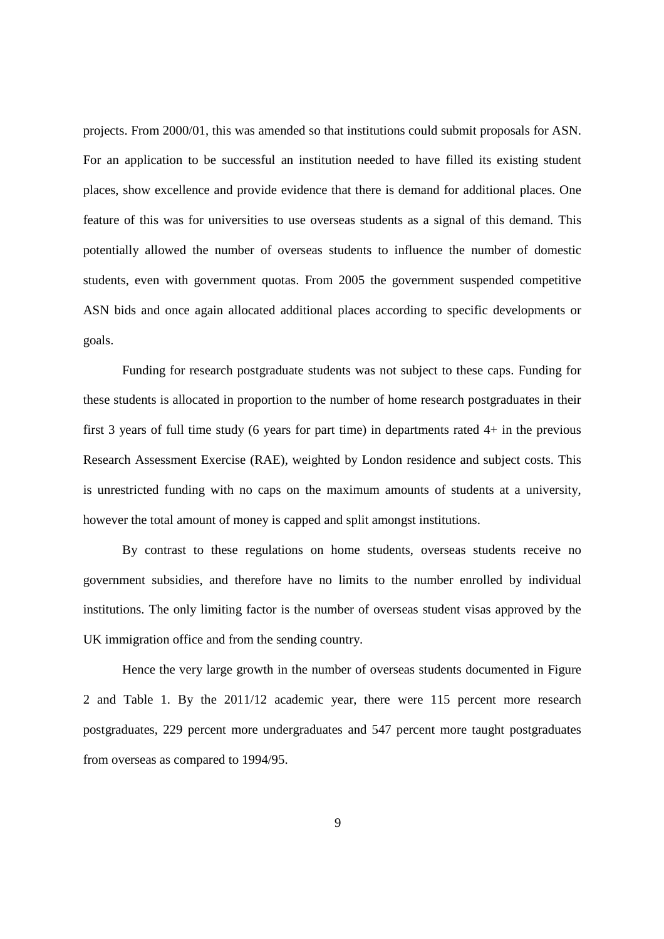projects. From 2000/01, this was amended so that institutions could submit proposals for ASN. For an application to be successful an institution needed to have filled its existing student places, show excellence and provide evidence that there is demand for additional places. One feature of this was for universities to use overseas students as a signal of this demand. This potentially allowed the number of overseas students to influence the number of domestic students, even with government quotas. From 2005 the government suspended competitive ASN bids and once again allocated additional places according to specific developments or goals.

Funding for research postgraduate students was not subject to these caps. Funding for these students is allocated in proportion to the number of home research postgraduates in their first 3 years of full time study (6 years for part time) in departments rated 4+ in the previous Research Assessment Exercise (RAE), weighted by London residence and subject costs. This is unrestricted funding with no caps on the maximum amounts of students at a university, however the total amount of money is capped and split amongst institutions.

By contrast to these regulations on home students, overseas students receive no government subsidies, and therefore have no limits to the number enrolled by individual institutions. The only limiting factor is the number of overseas student visas approved by the UK immigration office and from the sending country.

Hence the very large growth in the number of overseas students documented in Figure 2 and Table 1. By the 2011/12 academic year, there were 115 percent more research postgraduates, 229 percent more undergraduates and 547 percent more taught postgraduates from overseas as compared to 1994/95.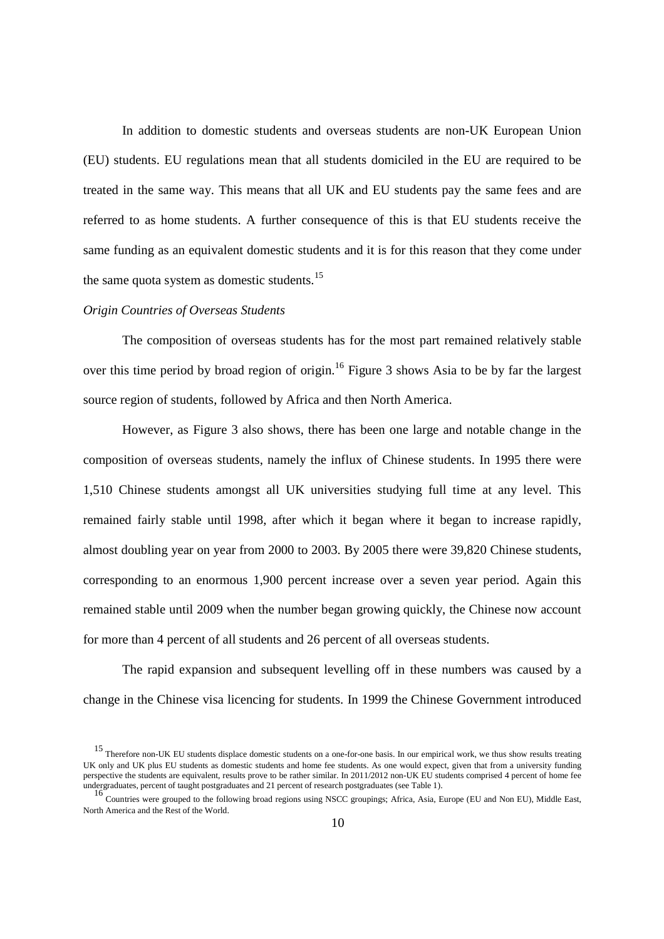In addition to domestic students and overseas students are non-UK European Union (EU) students. EU regulations mean that all students domiciled in the EU are required to be treated in the same way. This means that all UK and EU students pay the same fees and are referred to as home students. A further consequence of this is that EU students receive the same funding as an equivalent domestic students and it is for this reason that they come under the same quota system as domestic students.<sup>15</sup>

#### *Origin Countries of Overseas Students*

The composition of overseas students has for the most part remained relatively stable over this time period by broad region of origin.<sup>16</sup> Figure 3 shows Asia to be by far the largest source region of students, followed by Africa and then North America.

However, as Figure 3 also shows, there has been one large and notable change in the composition of overseas students, namely the influx of Chinese students. In 1995 there were 1,510 Chinese students amongst all UK universities studying full time at any level. This remained fairly stable until 1998, after which it began where it began to increase rapidly, almost doubling year on year from 2000 to 2003. By 2005 there were 39,820 Chinese students, corresponding to an enormous 1,900 percent increase over a seven year period. Again this remained stable until 2009 when the number began growing quickly, the Chinese now account for more than 4 percent of all students and 26 percent of all overseas students.

The rapid expansion and subsequent levelling off in these numbers was caused by a change in the Chinese visa licencing for students. In 1999 the Chinese Government introduced

<sup>15</sup> Therefore non-UK EU students displace domestic students on a one-for-one basis. In our empirical work, we thus show results treating UK only and UK plus EU students as domestic students and home fee students. As one would expect, given that from a university funding perspective the students are equivalent, results prove to be rather similar. In 2011/2012 non-UK EU students comprised 4 percent of home fee undergraduates, percent of taught postgraduates and 21 percent of research postgraduates (see Table 1).

<sup>16</sup> Countries were grouped to the following broad regions using NSCC groupings; Africa, Asia, Europe (EU and Non EU), Middle East, North America and the Rest of the World.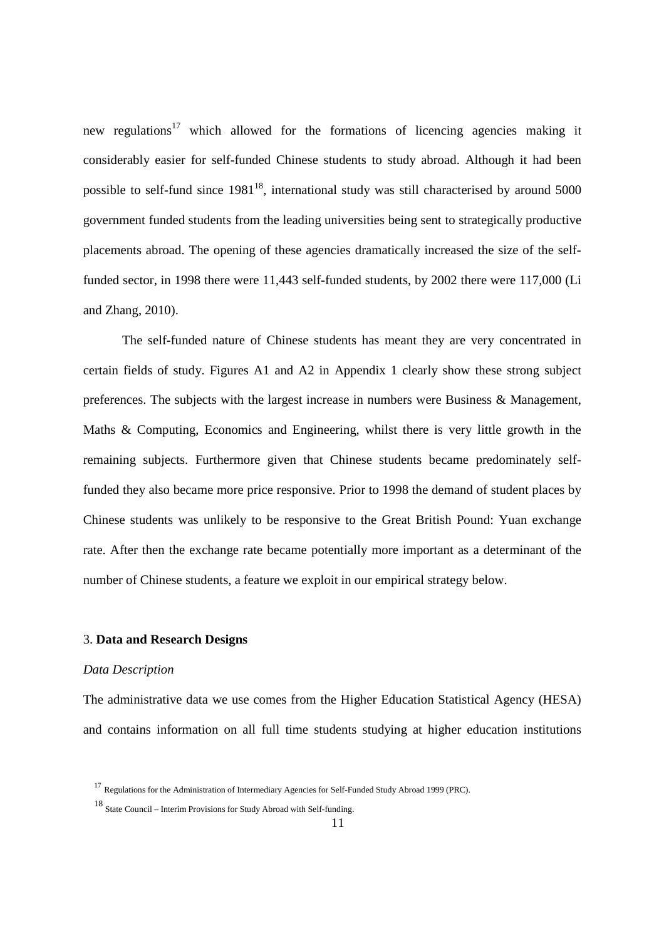new regulations<sup>17</sup> which allowed for the formations of licencing agencies making it considerably easier for self-funded Chinese students to study abroad. Although it had been possible to self-fund since  $1981^{18}$ , international study was still characterised by around 5000 government funded students from the leading universities being sent to strategically productive placements abroad. The opening of these agencies dramatically increased the size of the selffunded sector, in 1998 there were 11,443 self-funded students, by 2002 there were 117,000 (Li and Zhang, 2010).

The self-funded nature of Chinese students has meant they are very concentrated in certain fields of study. Figures A1 and A2 in Appendix 1 clearly show these strong subject preferences. The subjects with the largest increase in numbers were Business & Management, Maths & Computing, Economics and Engineering, whilst there is very little growth in the remaining subjects. Furthermore given that Chinese students became predominately selffunded they also became more price responsive. Prior to 1998 the demand of student places by Chinese students was unlikely to be responsive to the Great British Pound: Yuan exchange rate. After then the exchange rate became potentially more important as a determinant of the number of Chinese students, a feature we exploit in our empirical strategy below.

### 3. **Data and Research Designs**

#### *Data Description*

The administrative data we use comes from the Higher Education Statistical Agency (HESA) and contains information on all full time students studying at higher education institutions

<sup>17</sup> Regulations for the Administration of Intermediary Agencies for Self-Funded Study Abroad 1999 (PRC).

<sup>18</sup> State Council – Interim Provisions for Study Abroad with Self-funding.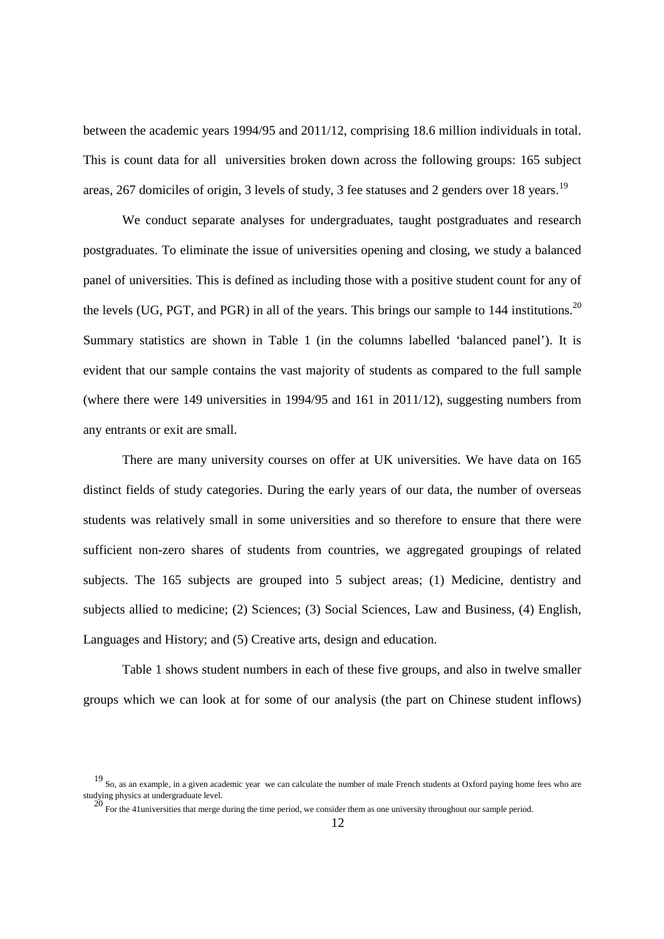between the academic years 1994/95 and 2011/12, comprising 18.6 million individuals in total. This is count data for all universities broken down across the following groups: 165 subject areas, 267 domiciles of origin, 3 levels of study, 3 fee statuses and 2 genders over 18 years.<sup>19</sup>

We conduct separate analyses for undergraduates, taught postgraduates and research postgraduates. To eliminate the issue of universities opening and closing, we study a balanced panel of universities. This is defined as including those with a positive student count for any of the levels (UG, PGT, and PGR) in all of the years. This brings our sample to  $144$  institutions.<sup>20</sup> Summary statistics are shown in Table 1 (in the columns labelled 'balanced panel'). It is evident that our sample contains the vast majority of students as compared to the full sample (where there were 149 universities in 1994/95 and 161 in 2011/12), suggesting numbers from any entrants or exit are small.

There are many university courses on offer at UK universities. We have data on 165 distinct fields of study categories. During the early years of our data, the number of overseas students was relatively small in some universities and so therefore to ensure that there were sufficient non-zero shares of students from countries, we aggregated groupings of related subjects. The 165 subjects are grouped into 5 subject areas; (1) Medicine, dentistry and subjects allied to medicine; (2) Sciences; (3) Social Sciences, Law and Business, (4) English, Languages and History; and (5) Creative arts, design and education.

Table 1 shows student numbers in each of these five groups, and also in twelve smaller groups which we can look at for some of our analysis (the part on Chinese student inflows)

<sup>19</sup> So, as an example, in a given academic year we can calculate the number of male French students at Oxford paying home fees who are studying physics at undergraduate level.<br>
<sup>20</sup> For the 41 universities that merge during the time period, we consider them as one university throughout our sample period.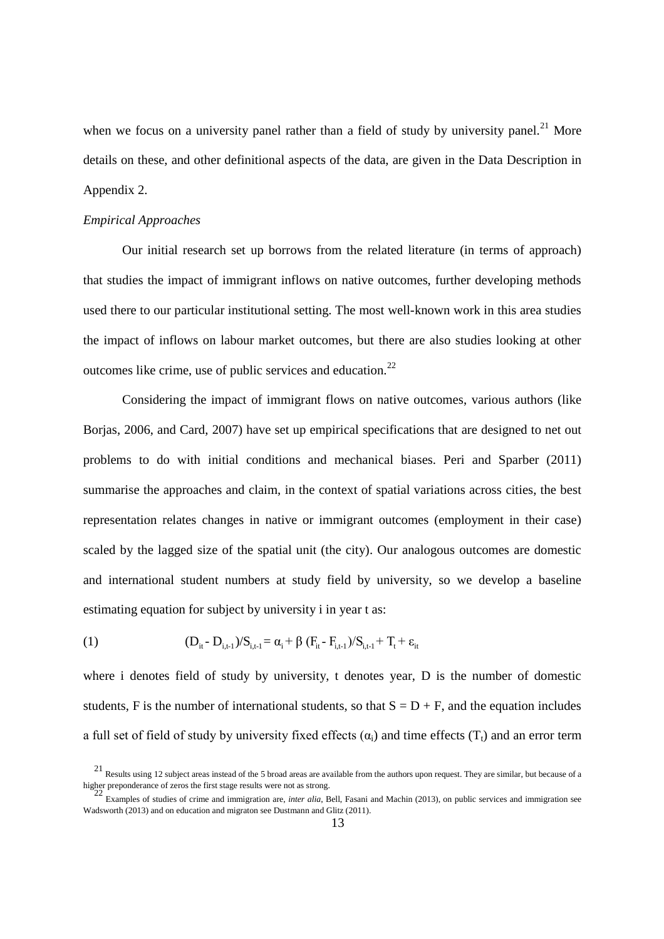when we focus on a university panel rather than a field of study by university panel.<sup>21</sup> More details on these, and other definitional aspects of the data, are given in the Data Description in Appendix 2.

#### *Empirical Approaches*

Our initial research set up borrows from the related literature (in terms of approach) that studies the impact of immigrant inflows on native outcomes, further developing methods used there to our particular institutional setting. The most well-known work in this area studies the impact of inflows on labour market outcomes, but there are also studies looking at other outcomes like crime, use of public services and education. $^{22}$ 

Considering the impact of immigrant flows on native outcomes, various authors (like Borjas, 2006, and Card, 2007) have set up empirical specifications that are designed to net out problems to do with initial conditions and mechanical biases. Peri and Sparber (2011) summarise the approaches and claim, in the context of spatial variations across cities, the best representation relates changes in native or immigrant outcomes (employment in their case) scaled by the lagged size of the spatial unit (the city). Our analogous outcomes are domestic and international student numbers at study field by university, so we develop a baseline estimating equation for subject by university i in year t as:

(1) 
$$
(D_{it} - D_{i,t-1})/S_{i,t-1} = \alpha_i + \beta (F_{it} - F_{i,t-1})/S_{i,t-1} + T_t + \varepsilon_{it}
$$

where i denotes field of study by university, t denotes year, D is the number of domestic students, F is the number of international students, so that  $S = D + F$ , and the equation includes a full set of field of study by university fixed effects  $(\alpha_i)$  and time effects  $(T_t)$  and an error term

 $21$  Results using 12 subject areas instead of the 5 broad areas are available from the authors upon request. They are similar, but because of a higher preponderance of zeros the first stage results were not as strong.<br>
22 F

Examples of studies of crime and immigration are, *inter alia*, Bell, Fasani and Machin (2013), on public services and immigration see Wadsworth (2013) and on education and migraton see Dustmann and Glitz (2011).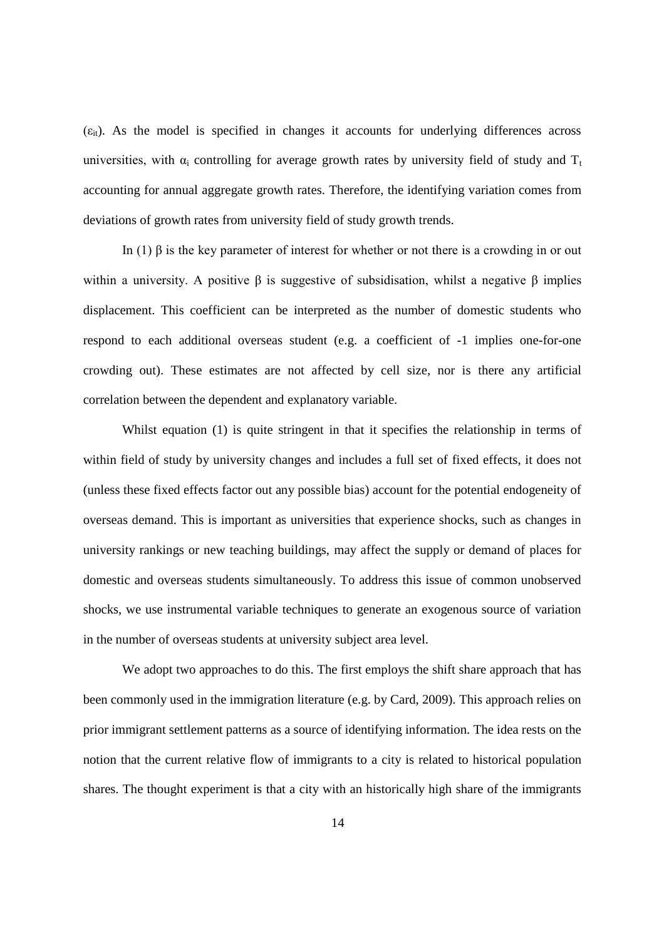$(\epsilon_{it})$ . As the model is specified in changes it accounts for underlying differences across universities, with  $\alpha_i$  controlling for average growth rates by university field of study and  $T_t$ accounting for annual aggregate growth rates. Therefore, the identifying variation comes from deviations of growth rates from university field of study growth trends.

In (1) β is the key parameter of interest for whether or not there is a crowding in or out within a university. A positive  $\beta$  is suggestive of subsidisation, whilst a negative  $\beta$  implies displacement. This coefficient can be interpreted as the number of domestic students who respond to each additional overseas student (e.g. a coefficient of -1 implies one-for-one crowding out). These estimates are not affected by cell size, nor is there any artificial correlation between the dependent and explanatory variable.

Whilst equation (1) is quite stringent in that it specifies the relationship in terms of within field of study by university changes and includes a full set of fixed effects, it does not (unless these fixed effects factor out any possible bias) account for the potential endogeneity of overseas demand. This is important as universities that experience shocks, such as changes in university rankings or new teaching buildings, may affect the supply or demand of places for domestic and overseas students simultaneously. To address this issue of common unobserved shocks, we use instrumental variable techniques to generate an exogenous source of variation in the number of overseas students at university subject area level.

We adopt two approaches to do this. The first employs the shift share approach that has been commonly used in the immigration literature (e.g. by Card, 2009). This approach relies on prior immigrant settlement patterns as a source of identifying information. The idea rests on the notion that the current relative flow of immigrants to a city is related to historical population shares. The thought experiment is that a city with an historically high share of the immigrants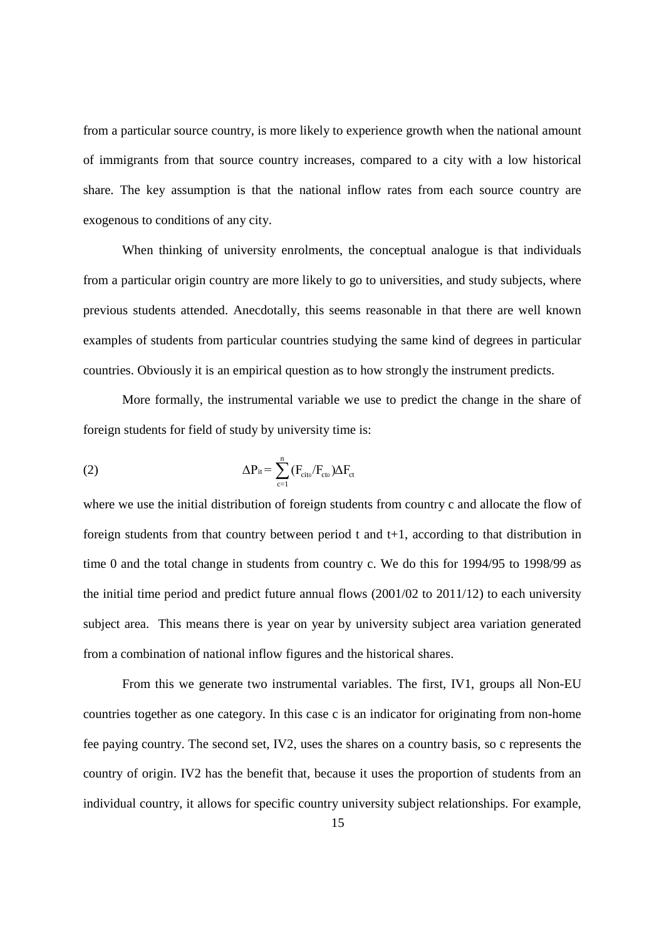from a particular source country, is more likely to experience growth when the national amount of immigrants from that source country increases, compared to a city with a low historical share. The key assumption is that the national inflow rates from each source country are exogenous to conditions of any city.

When thinking of university enrolments, the conceptual analogue is that individuals from a particular origin country are more likely to go to universities, and study subjects, where previous students attended. Anecdotally, this seems reasonable in that there are well known examples of students from particular countries studying the same kind of degrees in particular countries. Obviously it is an empirical question as to how strongly the instrument predicts.

More formally, the instrumental variable we use to predict the change in the share of foreign students for field of study by university time is:

(2) 
$$
\Delta P_{it} = \sum_{c=1}^{n} (F_{cito}/F_{cto})\Delta F_{ct}
$$

where we use the initial distribution of foreign students from country c and allocate the flow of foreign students from that country between period  $t$  and  $t+1$ , according to that distribution in time 0 and the total change in students from country c. We do this for 1994/95 to 1998/99 as the initial time period and predict future annual flows (2001/02 to 2011/12) to each university subject area. This means there is year on year by university subject area variation generated from a combination of national inflow figures and the historical shares.

From this we generate two instrumental variables. The first, IV1, groups all Non-EU countries together as one category. In this case c is an indicator for originating from non-home fee paying country. The second set, IV2, uses the shares on a country basis, so c represents the country of origin. IV2 has the benefit that, because it uses the proportion of students from an individual country, it allows for specific country university subject relationships. For example,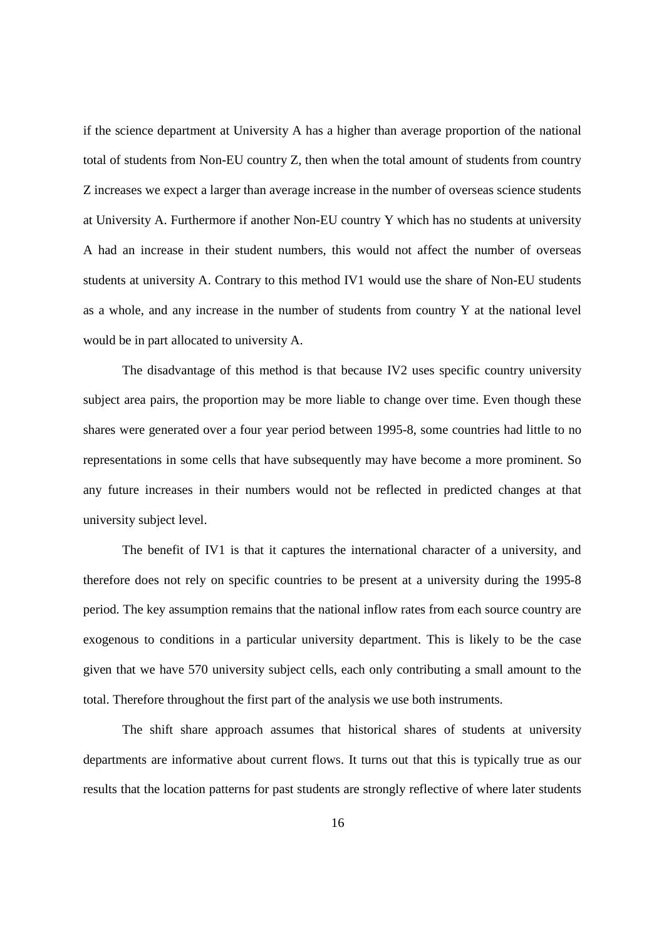if the science department at University A has a higher than average proportion of the national total of students from Non-EU country Z, then when the total amount of students from country Z increases we expect a larger than average increase in the number of overseas science students at University A. Furthermore if another Non-EU country Y which has no students at university A had an increase in their student numbers, this would not affect the number of overseas students at university A. Contrary to this method IV1 would use the share of Non-EU students as a whole, and any increase in the number of students from country Y at the national level would be in part allocated to university A.

The disadvantage of this method is that because IV2 uses specific country university subject area pairs, the proportion may be more liable to change over time. Even though these shares were generated over a four year period between 1995-8, some countries had little to no representations in some cells that have subsequently may have become a more prominent. So any future increases in their numbers would not be reflected in predicted changes at that university subject level.

The benefit of IV1 is that it captures the international character of a university, and therefore does not rely on specific countries to be present at a university during the 1995-8 period. The key assumption remains that the national inflow rates from each source country are exogenous to conditions in a particular university department. This is likely to be the case given that we have 570 university subject cells, each only contributing a small amount to the total. Therefore throughout the first part of the analysis we use both instruments.

The shift share approach assumes that historical shares of students at university departments are informative about current flows. It turns out that this is typically true as our results that the location patterns for past students are strongly reflective of where later students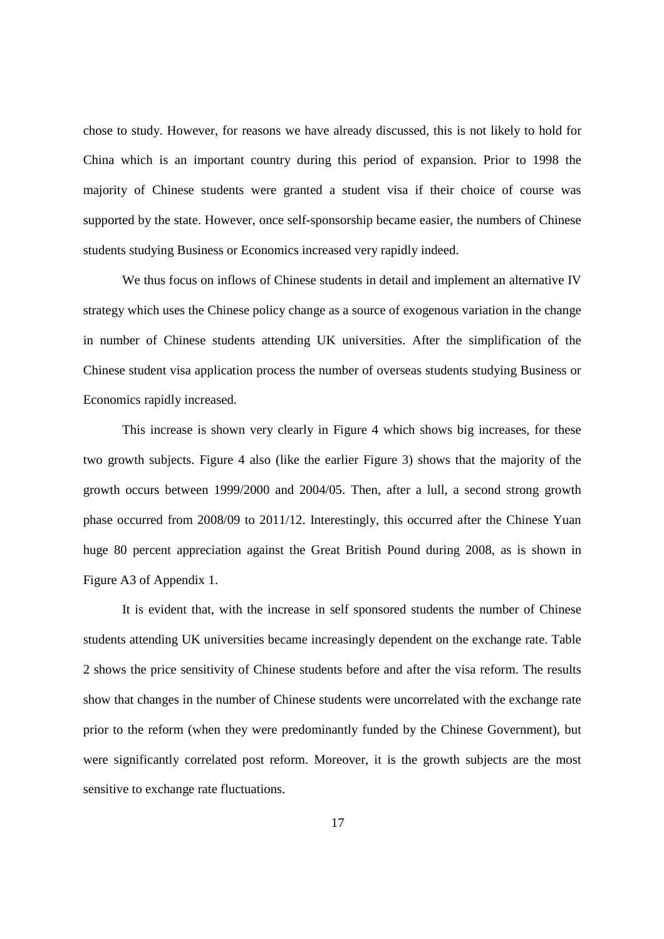chose to study. However, for reasons we have already discussed, this is not likely to hold for China which is an important country during this period of expansion. Prior to 1998 the majority of Chinese students were granted a student visa if their choice of course was supported by the state. However, once self-sponsorship became easier, the numbers of Chinese students studying Business or Economics increased very rapidly indeed.

We thus focus on inflows of Chinese students in detail and implement an alternative IV strategy which uses the Chinese policy change as a source of exogenous variation in the change in number of Chinese students attending UK universities. After the simplification of the Chinese student visa application process the number of overseas students studying Business or Economics rapidly increased.

This increase is shown very clearly in Figure 4 which shows big increases, for these two growth subjects. Figure 4 also (like the earlier Figure 3) shows that the majority of the growth occurs between 1999/2000 and 2004/05. Then, after a lull, a second strong growth phase occurred from 2008/09 to 2011/12. Interestingly, this occurred after the Chinese Yuan huge 80 percent appreciation against the Great British Pound during 2008, as is shown in Figure A3 of Appendix 1.

It is evident that, with the increase in self sponsored students the number of Chinese students attending UK universities became increasingly dependent on the exchange rate. Table 2 shows the price sensitivity of Chinese students before and after the visa reform. The results show that changes in the number of Chinese students were uncorrelated with the exchange rate prior to the reform (when they were predominantly funded by the Chinese Government), but were significantly correlated post reform. Moreover, it is the growth subjects are the most sensitive to exchange rate fluctuations.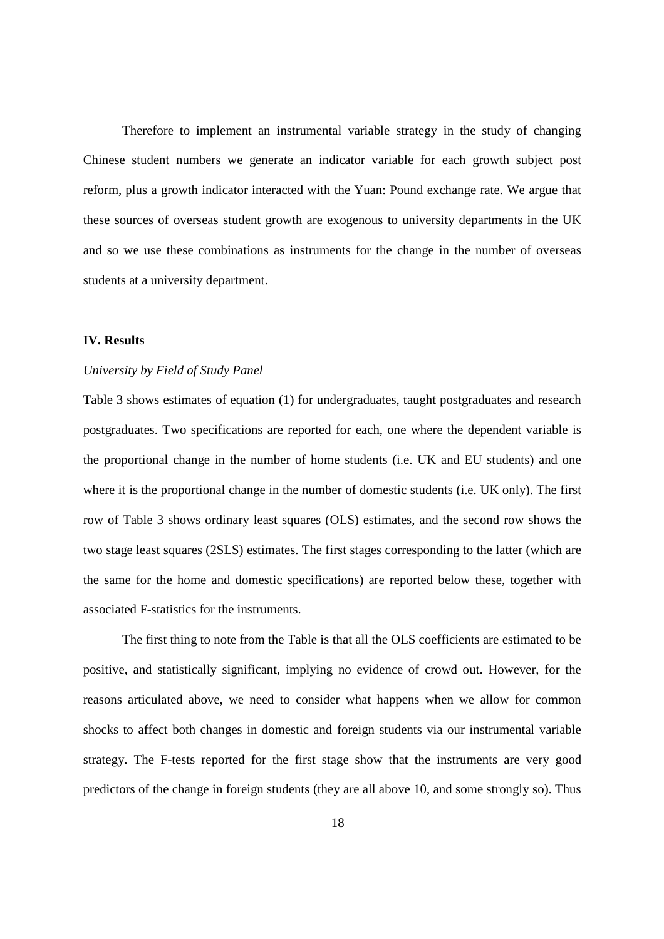Therefore to implement an instrumental variable strategy in the study of changing Chinese student numbers we generate an indicator variable for each growth subject post reform, plus a growth indicator interacted with the Yuan: Pound exchange rate. We argue that these sources of overseas student growth are exogenous to university departments in the UK and so we use these combinations as instruments for the change in the number of overseas students at a university department.

## **IV. Results**

### *University by Field of Study Panel*

Table 3 shows estimates of equation (1) for undergraduates, taught postgraduates and research postgraduates. Two specifications are reported for each, one where the dependent variable is the proportional change in the number of home students (i.e. UK and EU students) and one where it is the proportional change in the number of domestic students (i.e. UK only). The first row of Table 3 shows ordinary least squares (OLS) estimates, and the second row shows the two stage least squares (2SLS) estimates. The first stages corresponding to the latter (which are the same for the home and domestic specifications) are reported below these, together with associated F-statistics for the instruments.

The first thing to note from the Table is that all the OLS coefficients are estimated to be positive, and statistically significant, implying no evidence of crowd out. However, for the reasons articulated above, we need to consider what happens when we allow for common shocks to affect both changes in domestic and foreign students via our instrumental variable strategy. The F-tests reported for the first stage show that the instruments are very good predictors of the change in foreign students (they are all above 10, and some strongly so). Thus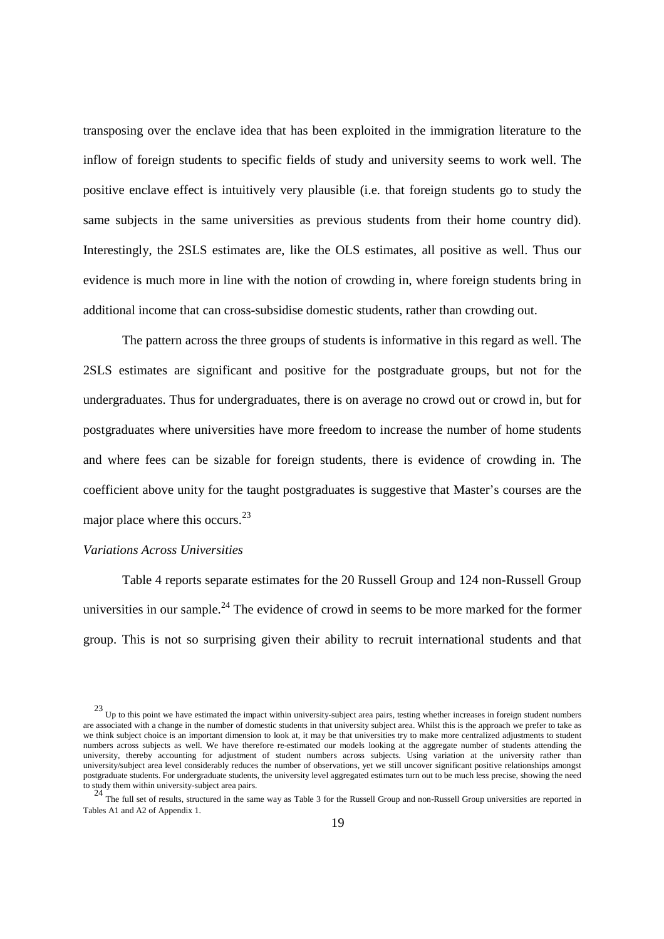transposing over the enclave idea that has been exploited in the immigration literature to the inflow of foreign students to specific fields of study and university seems to work well. The positive enclave effect is intuitively very plausible (i.e. that foreign students go to study the same subjects in the same universities as previous students from their home country did). Interestingly, the 2SLS estimates are, like the OLS estimates, all positive as well. Thus our evidence is much more in line with the notion of crowding in, where foreign students bring in additional income that can cross-subsidise domestic students, rather than crowding out.

The pattern across the three groups of students is informative in this regard as well. The 2SLS estimates are significant and positive for the postgraduate groups, but not for the undergraduates. Thus for undergraduates, there is on average no crowd out or crowd in, but for postgraduates where universities have more freedom to increase the number of home students and where fees can be sizable for foreign students, there is evidence of crowding in. The coefficient above unity for the taught postgraduates is suggestive that Master's courses are the major place where this occurs.  $23$ 

#### *Variations Across Universities*

Table 4 reports separate estimates for the 20 Russell Group and 124 non-Russell Group universities in our sample.<sup>24</sup> The evidence of crowd in seems to be more marked for the former group. This is not so surprising given their ability to recruit international students and that

 $23$  Up to this point we have estimated the impact within university-subject area pairs, testing whether increases in foreign student numbers are associated with a change in the number of domestic students in that university subject area. Whilst this is the approach we prefer to take as we think subject choice is an important dimension to look at, it may be that universities try to make more centralized adjustments to student numbers across subjects as well. We have therefore re-estimated our models looking at the aggregate number of students attending the university, thereby accounting for adjustment of student numbers across subjects. Using variation at the university rather than university/subject area level considerably reduces the number of observations, yet we still uncover significant positive relationships amongst postgraduate students. For undergraduate students, the university level aggregated estimates turn out to be much less precise, showing the need to study them within university-subject area pairs.

<sup>&</sup>lt;sup>24</sup> The full set of results, structured in the same way as Table 3 for the Russell Group and non-Russell Group universities are reported in Tables A1 and A2 of Appendix 1.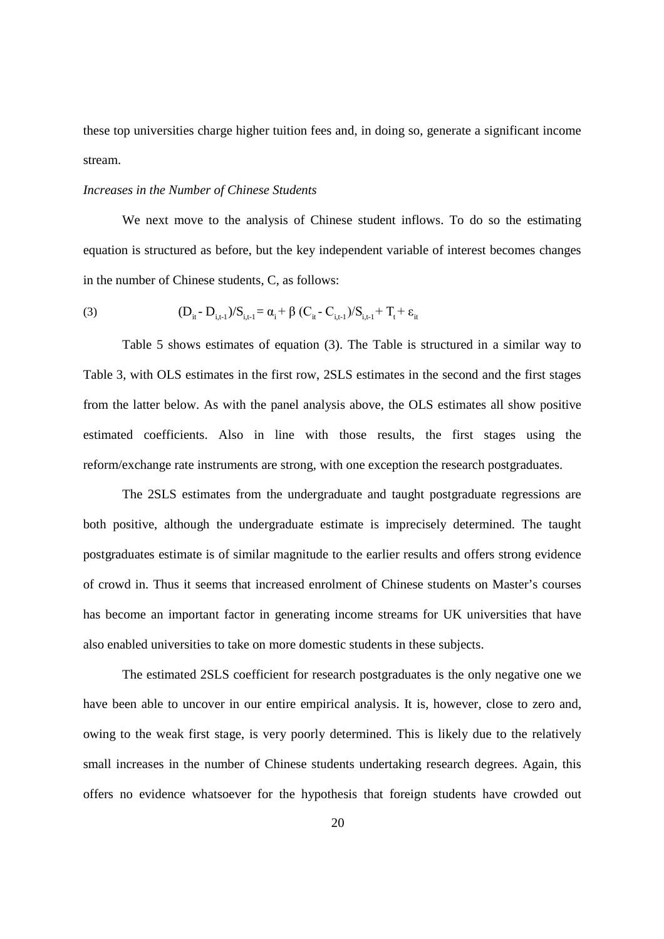these top universities charge higher tuition fees and, in doing so, generate a significant income stream.

## *Increases in the Number of Chinese Students*

We next move to the analysis of Chinese student inflows. To do so the estimating equation is structured as before, but the key independent variable of interest becomes changes in the number of Chinese students, C, as follows:

(3) 
$$
(D_{it} - D_{i,t-1})/S_{i,t-1} = \alpha_i + \beta (C_{it} - C_{i,t-1})/S_{i,t-1} + T_t + \varepsilon_{it}
$$

Table 5 shows estimates of equation (3). The Table is structured in a similar way to Table 3, with OLS estimates in the first row, 2SLS estimates in the second and the first stages from the latter below. As with the panel analysis above, the OLS estimates all show positive estimated coefficients. Also in line with those results, the first stages using the reform/exchange rate instruments are strong, with one exception the research postgraduates.

The 2SLS estimates from the undergraduate and taught postgraduate regressions are both positive, although the undergraduate estimate is imprecisely determined. The taught postgraduates estimate is of similar magnitude to the earlier results and offers strong evidence of crowd in. Thus it seems that increased enrolment of Chinese students on Master's courses has become an important factor in generating income streams for UK universities that have also enabled universities to take on more domestic students in these subjects.

The estimated 2SLS coefficient for research postgraduates is the only negative one we have been able to uncover in our entire empirical analysis. It is, however, close to zero and, owing to the weak first stage, is very poorly determined. This is likely due to the relatively small increases in the number of Chinese students undertaking research degrees. Again, this offers no evidence whatsoever for the hypothesis that foreign students have crowded out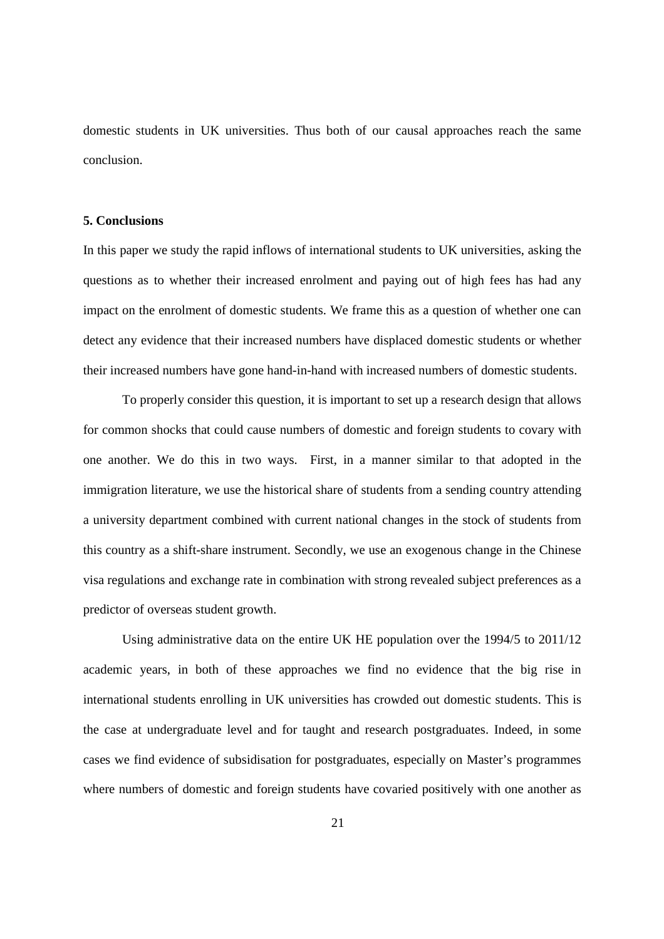domestic students in UK universities. Thus both of our causal approaches reach the same conclusion.

#### **5. Conclusions**

In this paper we study the rapid inflows of international students to UK universities, asking the questions as to whether their increased enrolment and paying out of high fees has had any impact on the enrolment of domestic students. We frame this as a question of whether one can detect any evidence that their increased numbers have displaced domestic students or whether their increased numbers have gone hand-in-hand with increased numbers of domestic students.

To properly consider this question, it is important to set up a research design that allows for common shocks that could cause numbers of domestic and foreign students to covary with one another. We do this in two ways. First, in a manner similar to that adopted in the immigration literature, we use the historical share of students from a sending country attending a university department combined with current national changes in the stock of students from this country as a shift-share instrument. Secondly, we use an exogenous change in the Chinese visa regulations and exchange rate in combination with strong revealed subject preferences as a predictor of overseas student growth.

Using administrative data on the entire UK HE population over the 1994/5 to 2011/12 academic years, in both of these approaches we find no evidence that the big rise in international students enrolling in UK universities has crowded out domestic students. This is the case at undergraduate level and for taught and research postgraduates. Indeed, in some cases we find evidence of subsidisation for postgraduates, especially on Master's programmes where numbers of domestic and foreign students have covaried positively with one another as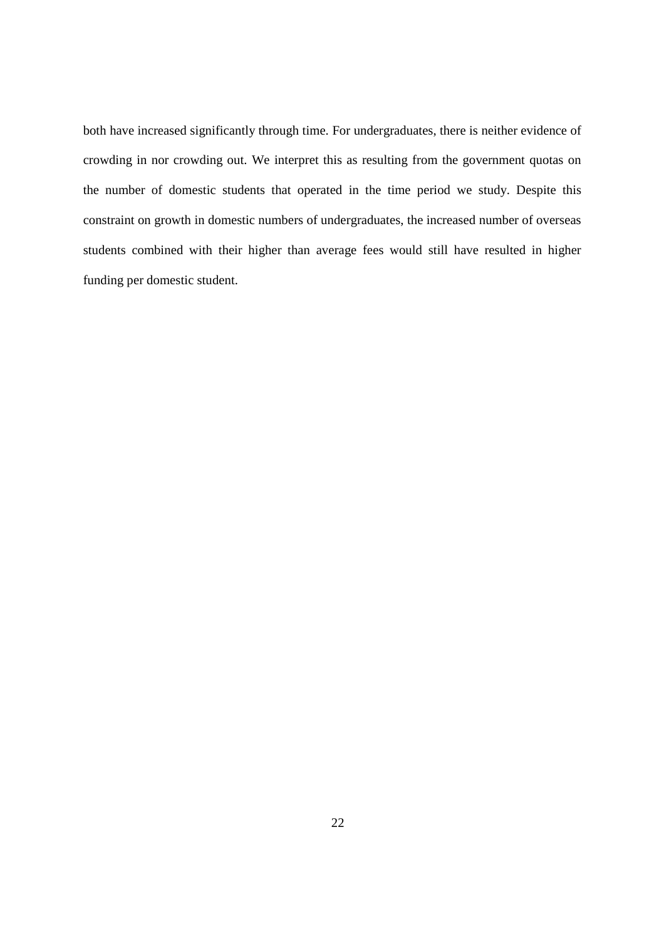both have increased significantly through time. For undergraduates, there is neither evidence of crowding in nor crowding out. We interpret this as resulting from the government quotas on the number of domestic students that operated in the time period we study. Despite this constraint on growth in domestic numbers of undergraduates, the increased number of overseas students combined with their higher than average fees would still have resulted in higher funding per domestic student.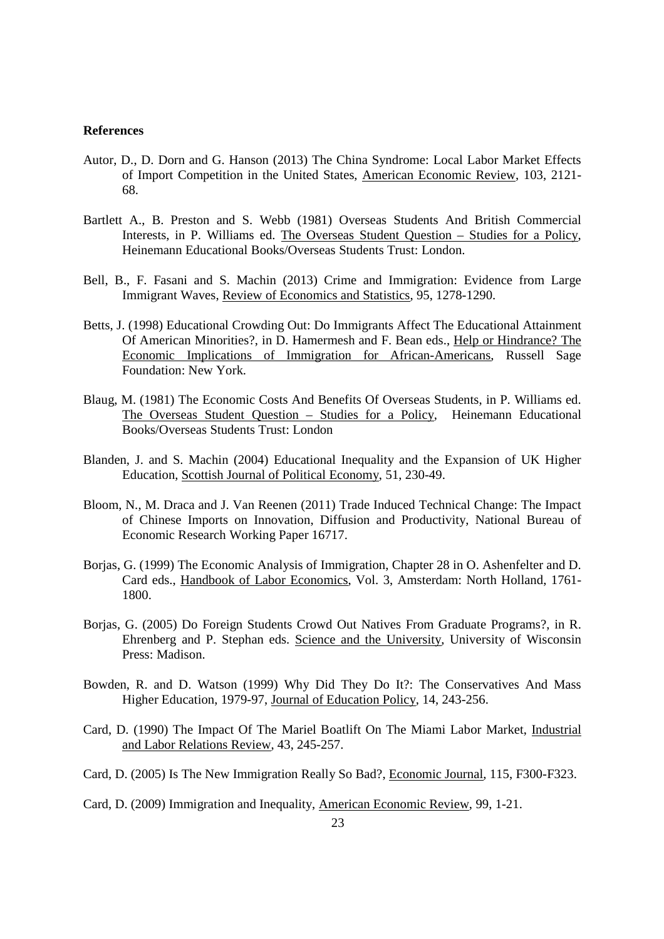#### **References**

- Autor, D., D. Dorn and G. Hanson (2013) The China Syndrome: Local Labor Market Effects of Import Competition in the United States, American Economic Review, 103, 2121- 68.
- Bartlett A., B. Preston and S. Webb (1981) Overseas Students And British Commercial Interests, in P. Williams ed. The Overseas Student Question – Studies for a Policy, Heinemann Educational Books/Overseas Students Trust: London.
- Bell, B., F. Fasani and S. Machin (2013) Crime and Immigration: Evidence from Large Immigrant Waves, Review of Economics and Statistics, 95, 1278-1290.
- Betts, J. (1998) Educational Crowding Out: Do Immigrants Affect The Educational Attainment Of American Minorities?, in D. Hamermesh and F. Bean eds., Help or Hindrance? The Economic Implications of Immigration for African-Americans, Russell Sage Foundation: New York.
- Blaug, M. (1981) The Economic Costs And Benefits Of Overseas Students, in P. Williams ed. The Overseas Student Question – Studies for a Policy, Heinemann Educational Books/Overseas Students Trust: London
- Blanden, J. and S. Machin (2004) Educational Inequality and the Expansion of UK Higher Education, Scottish Journal of Political Economy, 51, 230-49.
- Bloom, N., M. Draca and J. Van Reenen (2011) Trade Induced Technical Change: The Impact of Chinese Imports on Innovation, Diffusion and Productivity, National Bureau of Economic Research Working Paper 16717.
- Borjas, G. (1999) The Economic Analysis of Immigration, Chapter 28 in O. Ashenfelter and D. Card eds., Handbook of Labor Economics, Vol. 3, Amsterdam: North Holland, 1761- 1800.
- Borjas, G. (2005) Do Foreign Students Crowd Out Natives From Graduate Programs?, in R. Ehrenberg and P. Stephan eds. Science and the University, University of Wisconsin Press: Madison.
- Bowden, R. and D. Watson (1999) Why Did They Do It?: The Conservatives And Mass Higher Education, 1979-97, Journal of Education Policy, 14, 243-256.
- Card, D. (1990) The Impact Of The Mariel Boatlift On The Miami Labor Market, Industrial and Labor Relations Review, 43, 245-257.
- Card, D. (2005) Is The New Immigration Really So Bad?, Economic Journal, 115, F300-F323.
- Card, D. (2009) Immigration and Inequality, American Economic Review, 99, 1-21.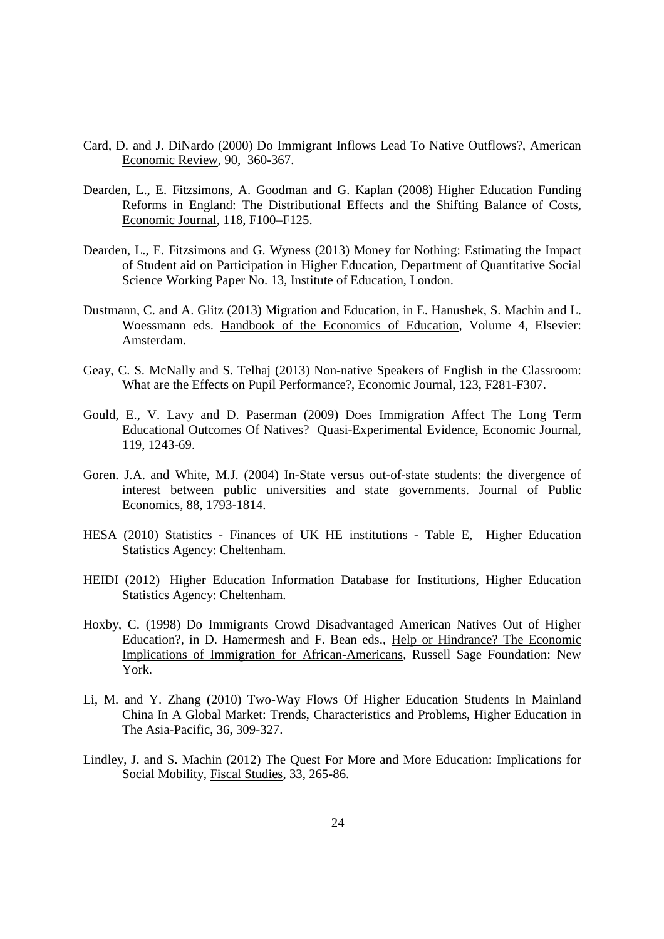- Card, D. and J. DiNardo (2000) Do Immigrant Inflows Lead To Native Outflows?, American Economic Review, 90, 360-367.
- Dearden, L., E. Fitzsimons, A. Goodman and G. Kaplan (2008) Higher Education Funding Reforms in England: The Distributional Effects and the Shifting Balance of Costs, Economic Journal, 118, F100–F125.
- Dearden, L., E. Fitzsimons and G. Wyness (2013) Money for Nothing: Estimating the Impact of Student aid on Participation in Higher Education, Department of Quantitative Social Science Working Paper No. 13, Institute of Education, London.
- Dustmann, C. and A. Glitz (2013) Migration and Education, in E. Hanushek, S. Machin and L. Woessmann eds. Handbook of the Economics of Education, Volume 4, Elsevier: Amsterdam.
- Geay, C. S. McNally and S. Telhaj (2013) Non-native Speakers of English in the Classroom: What are the Effects on Pupil Performance?, Economic Journal, 123, F281-F307.
- Gould, E., V. Lavy and D. Paserman (2009) Does Immigration Affect The Long Term Educational Outcomes Of Natives? Quasi-Experimental Evidence, Economic Journal, 119, 1243-69.
- Goren. J.A. and White, M.J. (2004) In-State versus out-of-state students: the divergence of interest between public universities and state governments. Journal of Public Economics, 88, 1793-1814.
- HESA (2010) Statistics Finances of UK HE institutions Table E, Higher Education Statistics Agency: Cheltenham.
- HEIDI (2012) Higher Education Information Database for Institutions, Higher Education Statistics Agency: Cheltenham.
- Hoxby, C. (1998) Do Immigrants Crowd Disadvantaged American Natives Out of Higher Education?, in D. Hamermesh and F. Bean eds., Help or Hindrance? The Economic Implications of Immigration for African-Americans, Russell Sage Foundation: New York.
- Li, M. and Y. Zhang (2010) Two-Way Flows Of Higher Education Students In Mainland China In A Global Market: Trends, Characteristics and Problems, Higher Education in The Asia-Pacific, 36, 309-327.
- Lindley, J. and S. Machin (2012) The Quest For More and More Education: Implications for Social Mobility, Fiscal Studies, 33, 265-86.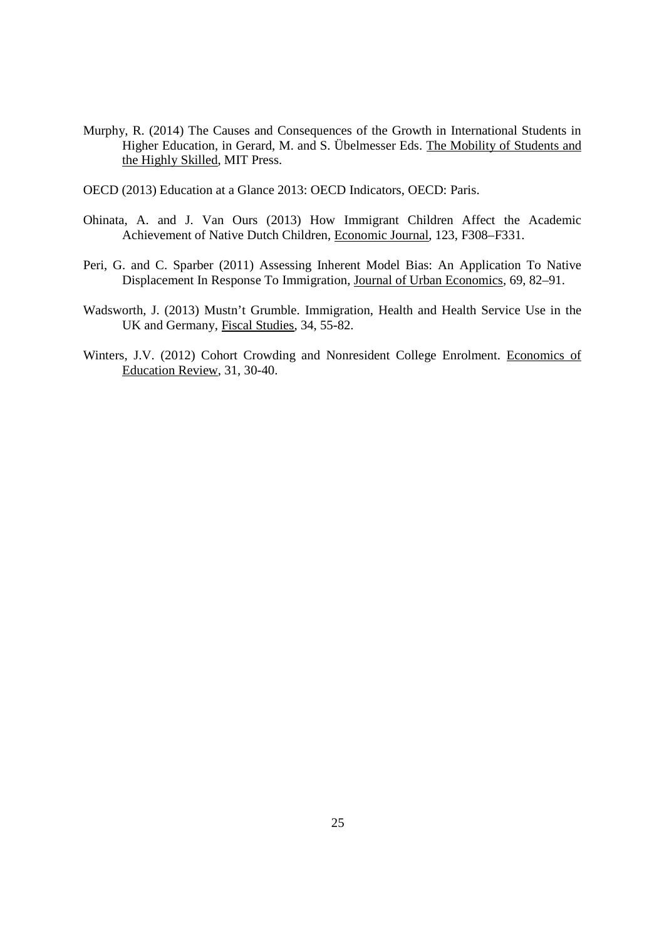- Murphy, R. (2014) The Causes and Consequences of the Growth in International Students in Higher Education, in Gerard, M. and S. Übelmesser Eds. The Mobility of Students and the Highly Skilled, MIT Press.
- OECD (2013) Education at a Glance 2013: OECD Indicators, OECD: Paris.
- Ohinata, A. and J. Van Ours (2013) How Immigrant Children Affect the Academic Achievement of Native Dutch Children, Economic Journal, 123, F308–F331.
- Peri, G. and C. Sparber (2011) Assessing Inherent Model Bias: An Application To Native Displacement In Response To Immigration, Journal of Urban Economics, 69, 82–91.
- Wadsworth, J. (2013) Mustn't Grumble. Immigration, Health and Health Service Use in the UK and Germany, Fiscal Studies, 34, 55-82.
- Winters, J.V. (2012) Cohort Crowding and Nonresident College Enrolment. Economics of Education Review, 31, 30-40.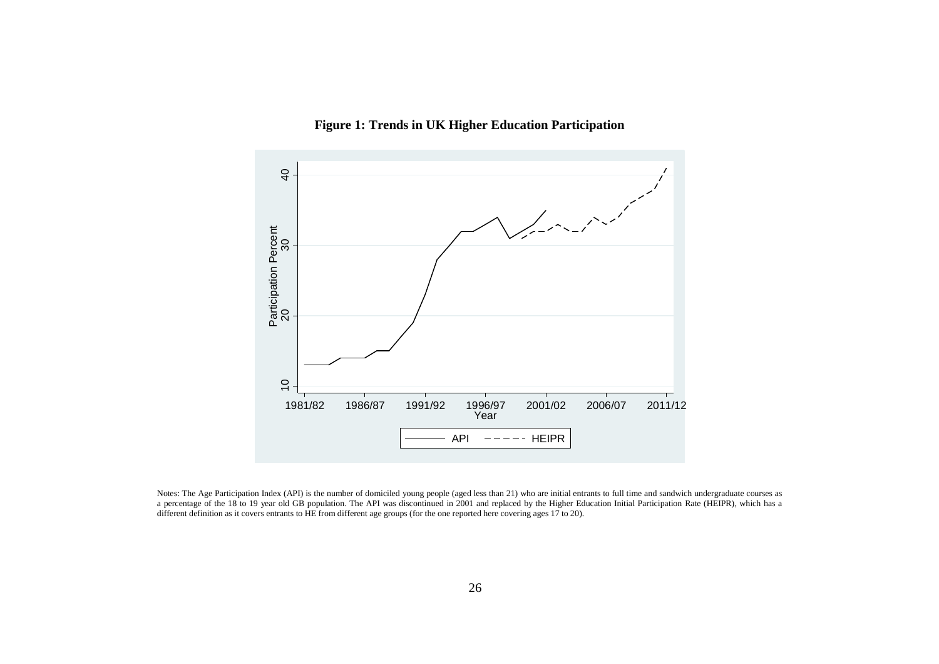



Notes: The Age Participation Index (API) is the number of domiciled young people (aged less than 21) who are initial entrants to full time and sandwich undergraduate courses as a percentage of the 18 to 19 year old GB population. The API was discontinued in 2001 and replaced by the Higher Education Initial Participation Rate (HEIPR), which has a different definition as it covers entrants to HE from different age groups (for the one reported here covering ages 17 to 20).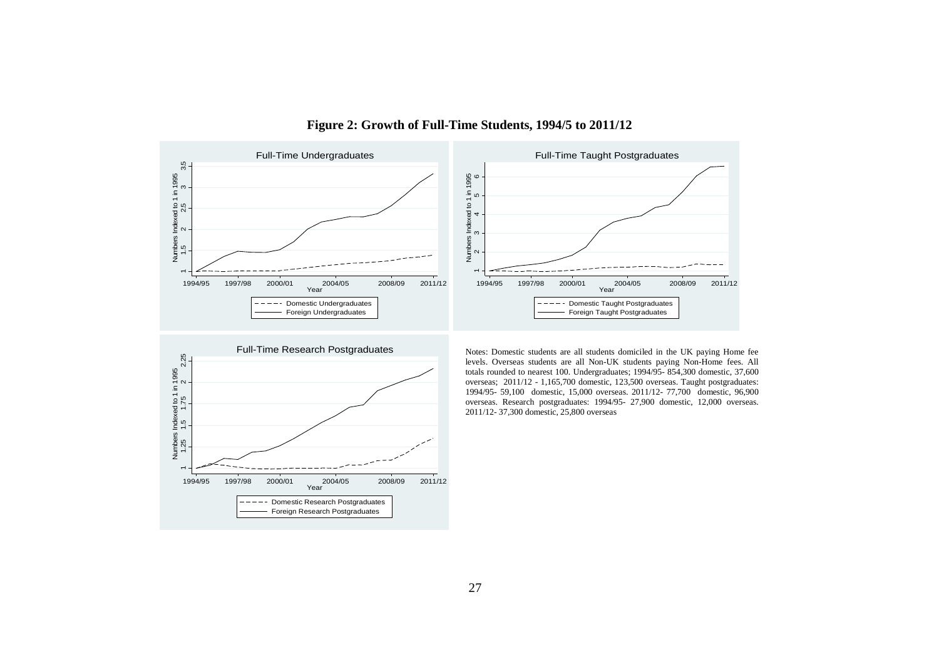

#### **Figure 2: Growth of Full-Time Students, 1994/5 to 2011/12**



levels. Overseas students are all Non-UK students paying Non-Home fees. All totals rounded to nearest 100. Undergraduates; 1994/95- 854,300 domestic, 37,600 overseas; 2011/12 - 1,165,700 domestic, 123,500 overseas. Taught postgraduates: 1994/95- 59,100 domestic, 15,000 overseas. 2011/12- 77,700 domestic, 96,900 overseas. Research postgraduates: 1994/95- 27,900 domestic, 12,000 overseas. 2011/12- 37,300 domestic, 25,800 overseas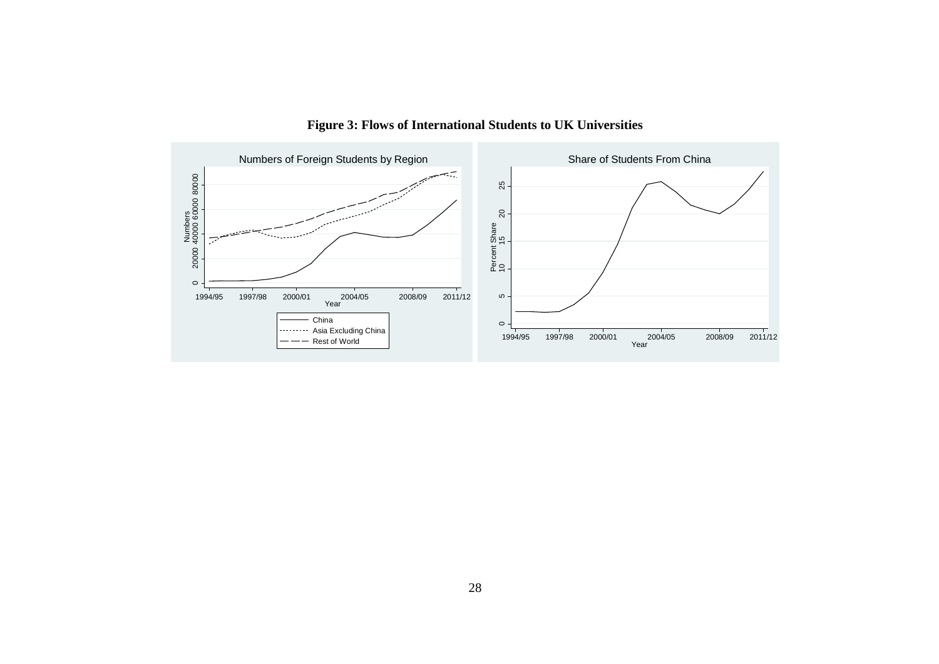

**Figure 3: Flows of International Students to UK Universities**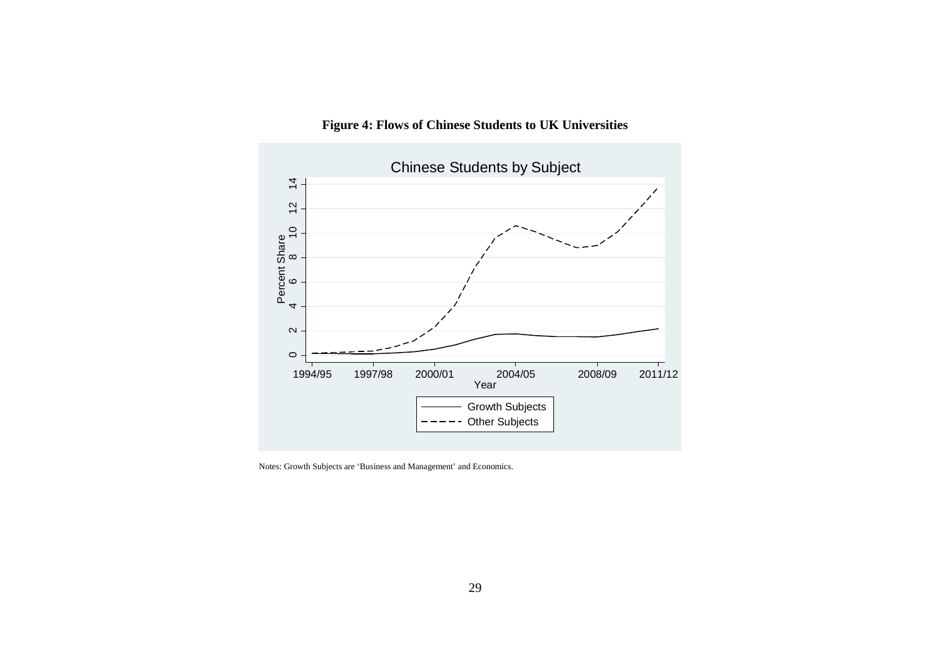



Notes: Growth Subjects are 'Business and Management' and Economics.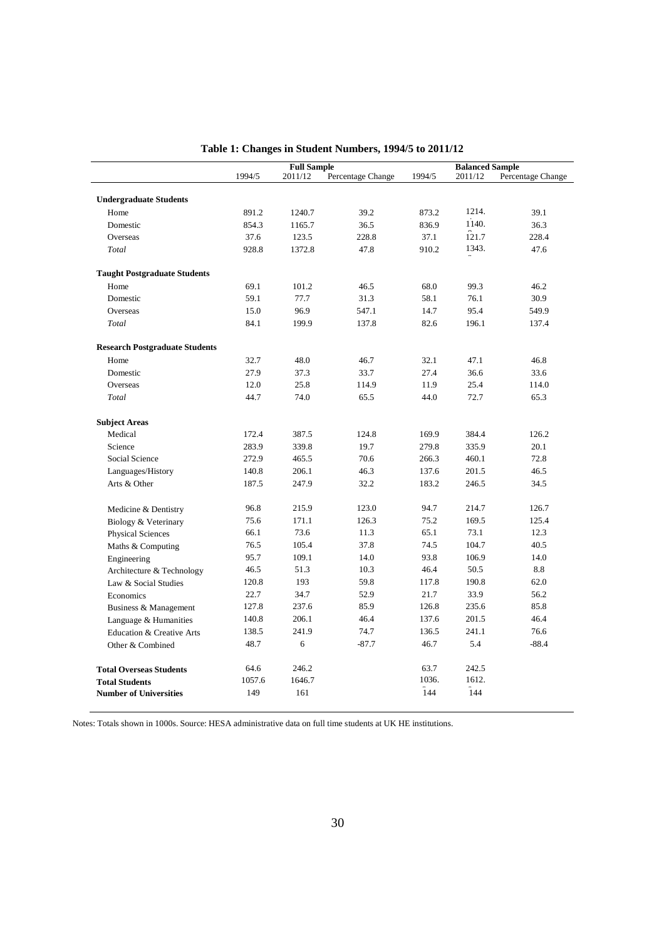|                                       |        | <b>Full Sample</b> |                   | <b>Balanced Sample</b> |         |                   |
|---------------------------------------|--------|--------------------|-------------------|------------------------|---------|-------------------|
|                                       | 1994/5 | 2011/12            | Percentage Change | 1994/5                 | 2011/12 | Percentage Change |
| <b>Undergraduate Students</b>         |        |                    |                   |                        |         |                   |
| Home                                  | 891.2  | 1240.7             | 39.2              | 873.2                  | 1214.   | 39.1              |
| Domestic                              | 854.3  | 1165.7             | 36.5              | 836.9                  | 1140.   | 36.3              |
| Overseas                              | 37.6   | 123.5              | 228.8             | 37.1                   | 121.7   | 228.4             |
| Total                                 | 928.8  | 1372.8             | 47.8              | 910.2                  | 1343.   | 47.6              |
|                                       |        |                    |                   |                        |         |                   |
| <b>Taught Postgraduate Students</b>   |        |                    |                   |                        |         |                   |
| Home                                  | 69.1   | 101.2              | 46.5              | 68.0                   | 99.3    | 46.2              |
| Domestic                              | 59.1   | 77.7               | 31.3              | 58.1                   | 76.1    | 30.9              |
| Overseas                              | 15.0   | 96.9               | 547.1             | 14.7                   | 95.4    | 549.9             |
| Total                                 | 84.1   | 199.9              | 137.8             | 82.6                   | 196.1   | 137.4             |
| <b>Research Postgraduate Students</b> |        |                    |                   |                        |         |                   |
| Home                                  | 32.7   | 48.0               | 46.7              | 32.1                   | 47.1    | 46.8              |
| Domestic                              | 27.9   | 37.3               | 33.7              | 27.4                   | 36.6    | 33.6              |
| Overseas                              | 12.0   | 25.8               | 114.9             | 11.9                   | 25.4    | 114.0             |
| Total                                 | 44.7   | 74.0               | 65.5              | 44.0                   | 72.7    | 65.3              |
|                                       |        |                    |                   |                        |         |                   |
| <b>Subject Areas</b>                  |        |                    |                   |                        |         |                   |
| Medical                               | 172.4  | 387.5              | 124.8             | 169.9                  | 384.4   | 126.2             |
| Science                               | 283.9  | 339.8              | 19.7              | 279.8                  | 335.9   | 20.1              |
| Social Science                        | 272.9  | 465.5              | 70.6              | 266.3                  | 460.1   | 72.8              |
| Languages/History                     | 140.8  | 206.1              | 46.3              | 137.6                  | 201.5   | 46.5              |
| Arts & Other                          | 187.5  | 247.9              | 32.2              | 183.2                  | 246.5   | 34.5              |
| Medicine & Dentistry                  | 96.8   | 215.9              | 123.0             | 94.7                   | 214.7   | 126.7             |
| Biology & Veterinary                  | 75.6   | 171.1              | 126.3             | 75.2                   | 169.5   | 125.4             |
| <b>Physical Sciences</b>              | 66.1   | 73.6               | 11.3              | 65.1                   | 73.1    | 12.3              |
| Maths & Computing                     | 76.5   | 105.4              | 37.8              | 74.5                   | 104.7   | 40.5              |
| Engineering                           | 95.7   | 109.1              | 14.0              | 93.8                   | 106.9   | 14.0              |
| Architecture & Technology             | 46.5   | 51.3               | 10.3              | 46.4                   | 50.5    | 8.8               |
| Law & Social Studies                  | 120.8  | 193                | 59.8              | 117.8                  | 190.8   | 62.0              |
| Economics                             | 22.7   | 34.7               | 52.9              | 21.7                   | 33.9    | 56.2              |
| Business & Management                 | 127.8  | 237.6              | 85.9              | 126.8                  | 235.6   | 85.8              |
| Language & Humanities                 | 140.8  | 206.1              | 46.4              | 137.6                  | 201.5   | 46.4              |
| Education & Creative Arts             | 138.5  | 241.9              | 74.7              | 136.5                  | 241.1   | 76.6              |
| Other & Combined                      | 48.7   | 6                  | $-87.7$           | 46.7                   | 5.4     | $-88.4$           |
|                                       |        |                    |                   |                        |         |                   |
| <b>Total Overseas Students</b>        | 64.6   | 246.2              |                   | 63.7                   | 242.5   |                   |
| <b>Total Students</b>                 | 1057.6 | 1646.7             |                   | 1036.                  | 1612.   |                   |
| <b>Number of Universities</b>         | 149    | 161                |                   | $\hat{1}44$            | 144     |                   |
|                                       |        |                    |                   |                        |         |                   |

**Table 1: Changes in Student Numbers, 1994/5 to 2011/12**

Notes: Totals shown in 1000s. Source: HESA administrative data on full time students at UK HE institutions.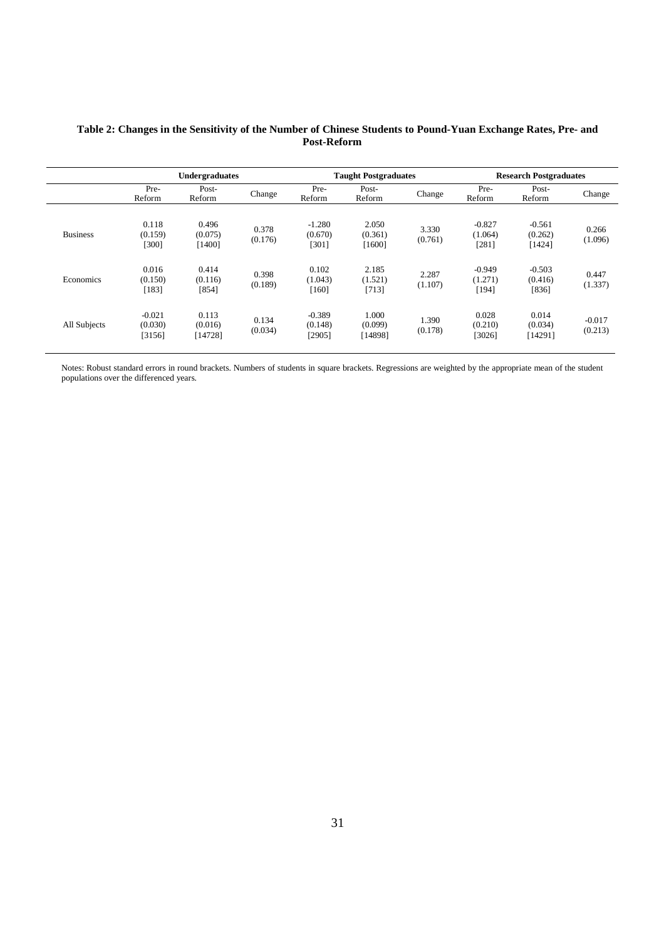|                 | <b>Undergraduates</b>         |                             |                  |                               | <b>Taught Postgraduates</b> |                  |                                | <b>Research Postgraduates</b> |                     |  |
|-----------------|-------------------------------|-----------------------------|------------------|-------------------------------|-----------------------------|------------------|--------------------------------|-------------------------------|---------------------|--|
|                 | Pre-<br>Reform                | Post-<br>Reform             | Change           | Pre-<br>Reform                | Post-<br>Reform             | Change           | Pre-<br>Reform                 | Post-<br>Reform               | Change              |  |
| <b>Business</b> | 0.118<br>(0.159)<br>[300]     | 0.496<br>(0.075)<br>[1400]  | 0.378<br>(0.176) | $-1.280$<br>(0.670)<br>[301]  | 2.050<br>(0.361)<br>[1600]  | 3.330<br>(0.761) | $-0.827$<br>(1.064)<br>$[281]$ | $-0.561$<br>(0.262)<br>[1424] | 0.266<br>(1.096)    |  |
| Economics       | 0.016<br>(0.150)<br>[183]     | 0.414<br>(0.116)<br>[854]   | 0.398<br>(0.189) | 0.102<br>(1.043)<br>$[160]$   | 2.185<br>(1.521)<br>[713]   | 2.287<br>(1.107) | $-0.949$<br>(1.271)<br>[194]   | $-0.503$<br>(0.416)<br>[836]  | 0.447<br>(1.337)    |  |
| All Subjects    | $-0.021$<br>(0.030)<br>[3156] | 0.113<br>(0.016)<br>[14728] | 0.134<br>(0.034) | $-0.389$<br>(0.148)<br>[2905] | 1.000<br>(0.099)<br>[14898] | 1.390<br>(0.178) | 0.028<br>(0.210)<br>[3026]     | 0.014<br>(0.034)<br>[14291]   | $-0.017$<br>(0.213) |  |

#### **Table 2: Changes in the Sensitivity of the Number of Chinese Students to Pound-Yuan Exchange Rates, Pre- and Post-Reform**

Notes: Robust standard errors in round brackets. Numbers of students in square brackets. Regressions are weighted by the appropriate mean of the student populations over the differenced years.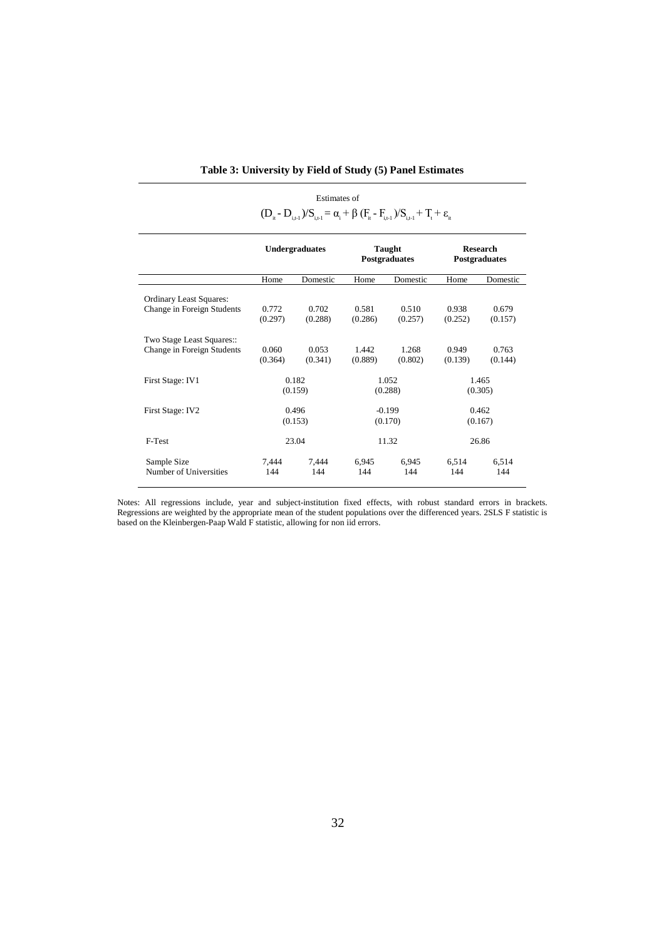|                                | $(D_{i} - D_{i+1})/S_{i+1} = \alpha_i + \beta (F_i - F_{i+1})/S_{i+1} + T_i + \varepsilon_i$ |          |                         |          |                                  |          |  |
|--------------------------------|----------------------------------------------------------------------------------------------|----------|-------------------------|----------|----------------------------------|----------|--|
|                                | <b>Undergraduates</b>                                                                        |          | Taught<br>Postgraduates |          | <b>Research</b><br>Postgraduates |          |  |
|                                | Home                                                                                         | Domestic | Home                    | Domestic | Home                             | Domestic |  |
| <b>Ordinary Least Squares:</b> | 0.772                                                                                        | 0.702    | 0.581                   | 0.510    | 0.938                            | 0.679    |  |
| Change in Foreign Students     | (0.297)                                                                                      | (0.288)  | (0.286)                 | (0.257)  | (0.252)                          | (0.157)  |  |
| Two Stage Least Squares::      | 0.060                                                                                        | 0.053    | 1.442                   | 1.268    | 0.949                            | 0.763    |  |
| Change in Foreign Students     | (0.364)                                                                                      | (0.341)  | (0.889)                 | (0.802)  | (0.139)                          | (0.144)  |  |
| First Stage: IV1               | 0.182                                                                                        |          | 1.052                   |          | 1.465                            |          |  |
|                                | (0.159)                                                                                      |          | (0.288)                 |          | (0.305)                          |          |  |
| First Stage: IV2               | 0.496                                                                                        |          | $-0.199$                |          | 0.462                            |          |  |
|                                | (0.153)                                                                                      |          | (0.170)                 |          | (0.167)                          |          |  |
| F-Test                         | 23.04                                                                                        |          |                         | 11.32    |                                  | 26.86    |  |
| Sample Size                    | 7.444                                                                                        | 7.444    | 6.945                   | 6.945    | 6.514                            | 6.514    |  |
| Number of Universities         | 144                                                                                          | 144      | 144                     | 144      | 144                              | 144      |  |

#### **Table 3: University by Field of Study (5) Panel Estimates**

Estimates of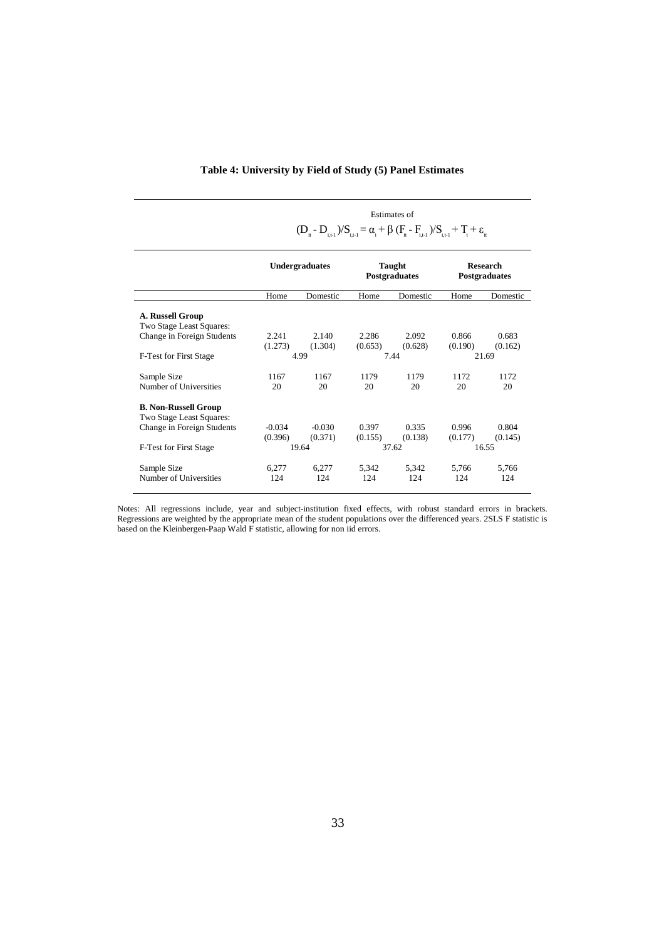|  |  | Table 4: University by Field of Study (5) Panel Estimates |  |  |  |  |  |  |
|--|--|-----------------------------------------------------------|--|--|--|--|--|--|
|--|--|-----------------------------------------------------------|--|--|--|--|--|--|

|                                                         | <b>Estimates of</b>                                                                              |                     |                  |                         |                  |                                         |  |  |
|---------------------------------------------------------|--------------------------------------------------------------------------------------------------|---------------------|------------------|-------------------------|------------------|-----------------------------------------|--|--|
|                                                         | $(D_{i} - D_{i+1})/S_{i+1} = \alpha_i + \beta (F_{i} - F_{i+1})/S_{i+1} + T_t + \varepsilon_{i}$ |                     |                  |                         |                  |                                         |  |  |
|                                                         | <b>Undergraduates</b>                                                                            |                     |                  | Taught<br>Postgraduates |                  | <b>Research</b><br><b>Postgraduates</b> |  |  |
|                                                         | Home                                                                                             | Domestic            | Home             | Domestic                | Home             | Domestic                                |  |  |
| A. Russell Group<br>Two Stage Least Squares:            |                                                                                                  |                     |                  |                         |                  |                                         |  |  |
| Change in Foreign Students                              | 2.241<br>(1.273)                                                                                 | 2.140<br>(1.304)    | 2.286<br>(0.653) | 2.092<br>(0.628)        | 0.866<br>(0.190) | 0.683<br>(0.162)                        |  |  |
| F-Test for First Stage                                  |                                                                                                  | 4.99                |                  | 7.44                    | 21.69            |                                         |  |  |
| Sample Size<br>Number of Universities                   | 1167<br>20                                                                                       | 1167<br>20          | 1179<br>20       | 1179<br>20              | 1172<br>20       | 1172<br>20                              |  |  |
| <b>B. Non-Russell Group</b><br>Two Stage Least Squares: |                                                                                                  |                     |                  |                         |                  |                                         |  |  |
| Change in Foreign Students                              | $-0.034$<br>(0.396)                                                                              | $-0.030$<br>(0.371) | 0.397<br>(0.155) | 0.335<br>(0.138)        | 0.996<br>(0.177) | 0.804<br>(0.145)                        |  |  |
| F-Test for First Stage                                  |                                                                                                  | 19.64               |                  | 37.62                   |                  | 16.55                                   |  |  |
| Sample Size<br>Number of Universities                   | 6,277<br>124                                                                                     | 6,277<br>124        | 5,342<br>124     | 5.342<br>124            | 5,766<br>124     | 5,766<br>124                            |  |  |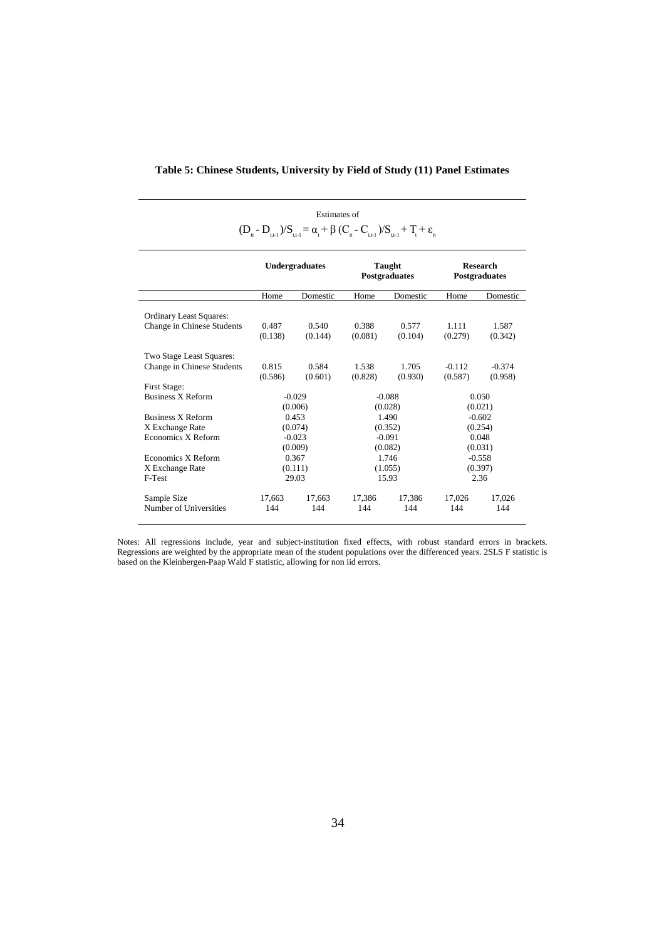| Estimates of                                                                                                               |  |
|----------------------------------------------------------------------------------------------------------------------------|--|
| $(D_{i_t} - D_{i_{t+1}})/S_{i_{t+1}} = \alpha_i + \beta (C_{i_t} - C_{i_{t+1}})/S_{i_{t+1}} + T_t + \varepsilon_{i_{t+1}}$ |  |

|                                |                  | <b>Undergraduates</b><br>Taught<br>Postgraduates |          |          |          | <b>Research</b><br><b>Postgraduates</b> |  |
|--------------------------------|------------------|--------------------------------------------------|----------|----------|----------|-----------------------------------------|--|
|                                | Home             | Domestic                                         | Home     | Domestic | Home     | Domestic                                |  |
| <b>Ordinary Least Squares:</b> |                  |                                                  |          |          |          |                                         |  |
| Change in Chinese Students     | 0.487            | 0.540                                            | 0.388    | 0.577    | 1.111    | 1.587                                   |  |
|                                | (0.138)          | (0.144)                                          | (0.081)  | (0.104)  | (0.279)  | (0.342)                                 |  |
| Two Stage Least Squares:       |                  |                                                  |          |          |          |                                         |  |
| Change in Chinese Students     | 0.815            | 0.584                                            | 1.538    | 1.705    | $-0.112$ | $-0.374$                                |  |
|                                | (0.586)          | (0.601)                                          | (0.828)  | (0.930)  | (0.587)  | (0.958)                                 |  |
| First Stage:                   |                  |                                                  |          |          |          |                                         |  |
| <b>Business X Reform</b>       |                  | $-0.029$                                         | $-0.088$ |          | 0.050    |                                         |  |
|                                |                  | (0.006)                                          | (0.028)  |          | (0.021)  |                                         |  |
| <b>Business X Reform</b>       |                  | 0.453                                            | 1.490    |          | $-0.602$ |                                         |  |
| X Exchange Rate                |                  | (0.074)                                          | (0.352)  |          | (0.254)  |                                         |  |
| Economics X Reform             |                  | $-0.023$                                         |          | $-0.091$ |          | 0.048                                   |  |
|                                |                  | (0.009)                                          | (0.082)  |          |          | (0.031)                                 |  |
| Economics X Reform             |                  | 0.367                                            |          | 1.746    |          | $-0.558$                                |  |
| X Exchange Rate                | (0.111)          |                                                  |          | (1.055)  |          | (0.397)                                 |  |
| F-Test                         | 29.03            |                                                  |          | 15.93    |          | 2.36                                    |  |
| Sample Size                    | 17.663<br>17.663 |                                                  | 17.386   | 17.386   | 17.026   | 17,026                                  |  |
| Number of Universities         | 144<br>144       |                                                  | 144      | 144      | 144      | 144                                     |  |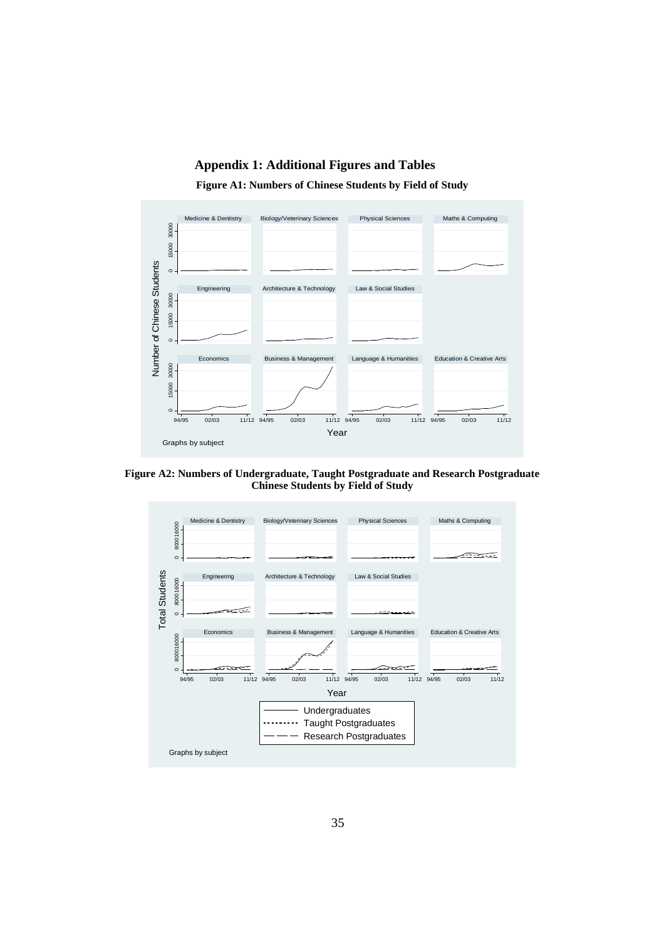# **Appendix 1: Additional Figures and Tables**

**Figure A1: Numbers of Chinese Students by Field of Study**



**Figure A2: Numbers of Undergraduate, Taught Postgraduate and Research Postgraduate Chinese Students by Field of Study**

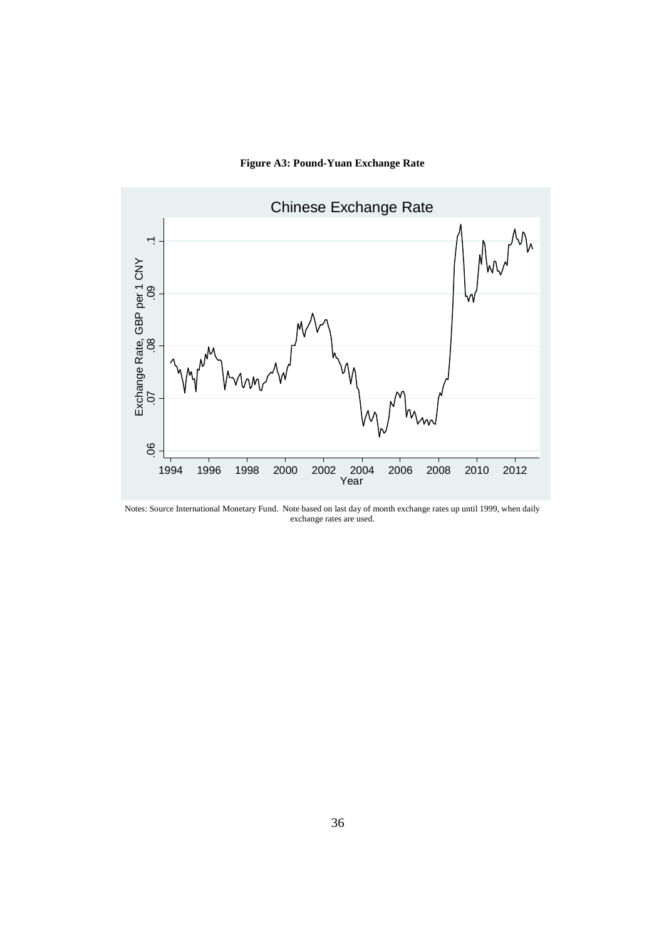# **Figure A3: Pound-Yuan Exchange Rate**



Notes: Source International Monetary Fund. Note based on last day of month exchange rates up until 1999, when daily exchange rates are used.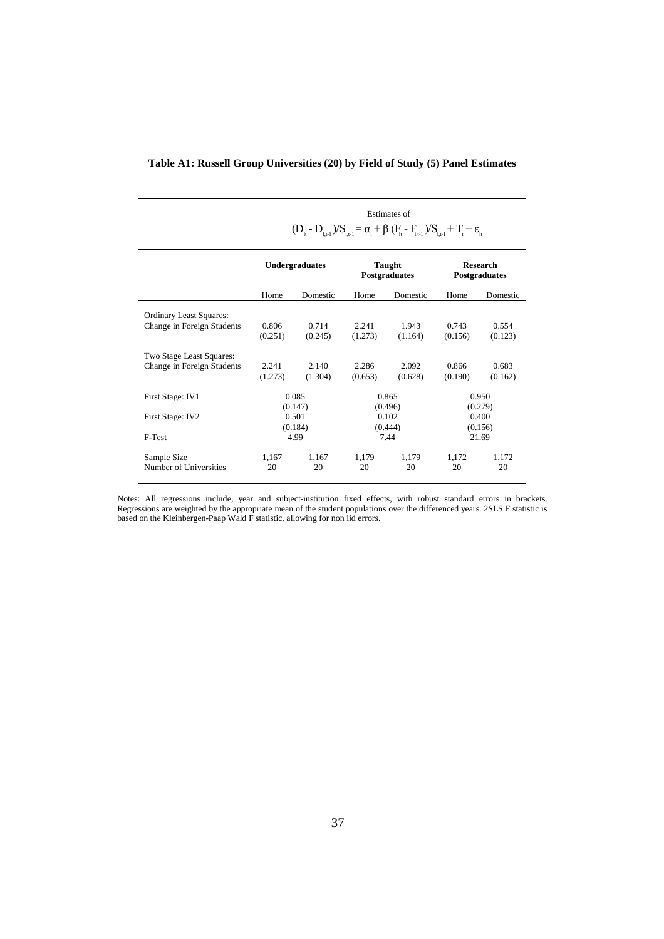| Table A1: Russell Group Universities (20) by Field of Study (5) Panel Estimates |  |  |
|---------------------------------------------------------------------------------|--|--|
|                                                                                 |  |  |

Estimates of

|                                                              | $(D_{i} - D_{i+1})/S_{i+1} = \alpha_i + \beta (F_i - F_{i+1})/S_{i+1} + T_i + \varepsilon_i$ |                     |                                      |                  |                                         |                      |  |
|--------------------------------------------------------------|----------------------------------------------------------------------------------------------|---------------------|--------------------------------------|------------------|-----------------------------------------|----------------------|--|
|                                                              | <b>Undergraduates</b>                                                                        |                     | Taught<br><b>Postgraduates</b>       |                  | <b>Research</b><br><b>Postgraduates</b> |                      |  |
|                                                              | Home                                                                                         | Domestic            | Home                                 | Domestic         | Home                                    | Domestic             |  |
| <b>Ordinary Least Squares:</b><br>Change in Foreign Students | 0.806<br>(0.251)                                                                             | 0.714<br>(0.245)    | 2.241<br>(1.273)                     | 1.943<br>(1.164) | 0.743<br>(0.156)                        | 0.554<br>(0.123)     |  |
| Two Stage Least Squares:<br>Change in Foreign Students       | 2.241<br>(1.273)                                                                             | 2.140<br>(1.304)    | 2.286<br>(0.653)                     | 2.092<br>(0.628) | 0.866<br>(0.190)                        | 0.683<br>(0.162)     |  |
| First Stage: IV1<br>First Stage: IV2                         | 0.085<br>(0.147)<br>0.501<br>(0.184)                                                         |                     | 0.865<br>(0.496)<br>0.102<br>(0.444) |                  | 0.950<br>(0.279)<br>0.400<br>(0.156)    |                      |  |
| F-Test<br>Sample Size<br>Number of Universities              | 1,167<br>20                                                                                  | 4.99<br>1,167<br>20 | 7.44<br>1,179<br>1,179<br>20<br>20   |                  | 1,172<br>20                             | 21.69<br>1,172<br>20 |  |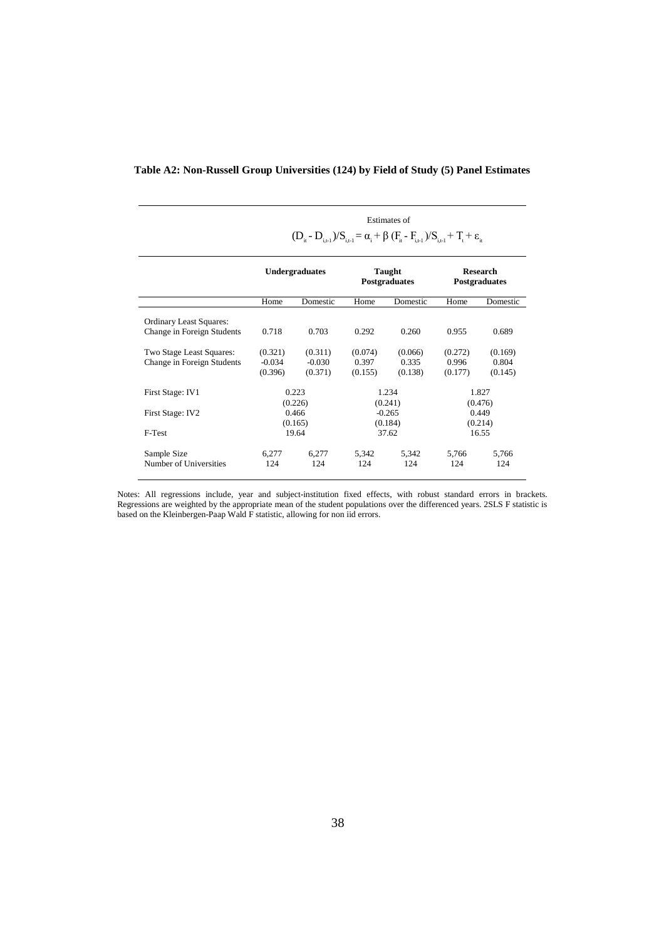|                                                              | Estimates of                                                                                     |                                |                                |                             |                                  |                             |  |  |
|--------------------------------------------------------------|--------------------------------------------------------------------------------------------------|--------------------------------|--------------------------------|-----------------------------|----------------------------------|-----------------------------|--|--|
|                                                              | $(D_{i} - D_{i+1})/S_{i+1} = \alpha_i + \beta (F_i - F_{i+1})/S_{i+1} + T_i + \varepsilon_{i+1}$ |                                |                                |                             |                                  |                             |  |  |
|                                                              | <b>Undergraduates</b>                                                                            |                                | Taught<br><b>Postgraduates</b> |                             | <b>Research</b><br>Postgraduates |                             |  |  |
|                                                              | Home                                                                                             | Domestic                       | Home                           | Domestic                    | Home                             | Domestic                    |  |  |
| <b>Ordinary Least Squares:</b><br>Change in Foreign Students | 0.718                                                                                            | 0.703                          | 0.292                          | 0.260                       | 0.955                            | 0.689                       |  |  |
| Two Stage Least Squares:<br>Change in Foreign Students       | (0.321)<br>$-0.034$<br>(0.396)                                                                   | (0.311)<br>$-0.030$<br>(0.371) | (0.074)<br>0.397<br>(0.155)    | (0.066)<br>0.335<br>(0.138) | (0.272)<br>0.996<br>(0.177)      | (0.169)<br>0.804<br>(0.145) |  |  |
| First Stage: IV1                                             |                                                                                                  | 0.223<br>(0.226)               |                                | 1.234<br>(0.241)            |                                  | 1.827<br>(0.476)            |  |  |
| First Stage: IV2                                             | 0.466<br>(0.165)                                                                                 |                                | $-0.265$<br>(0.184)            |                             | 0.449<br>(0.214)                 |                             |  |  |
| F-Test                                                       |                                                                                                  | 19.64                          |                                | 37.62                       |                                  | 16.55                       |  |  |
| Sample Size<br>Number of Universities                        | 6,277<br>124                                                                                     | 6,277<br>124                   | 5,342<br>124                   | 5,342<br>124                | 5,766<br>124                     | 5,766<br>124                |  |  |

#### **Table A2: Non-Russell Group Universities (124) by Field of Study (5) Panel Estimates**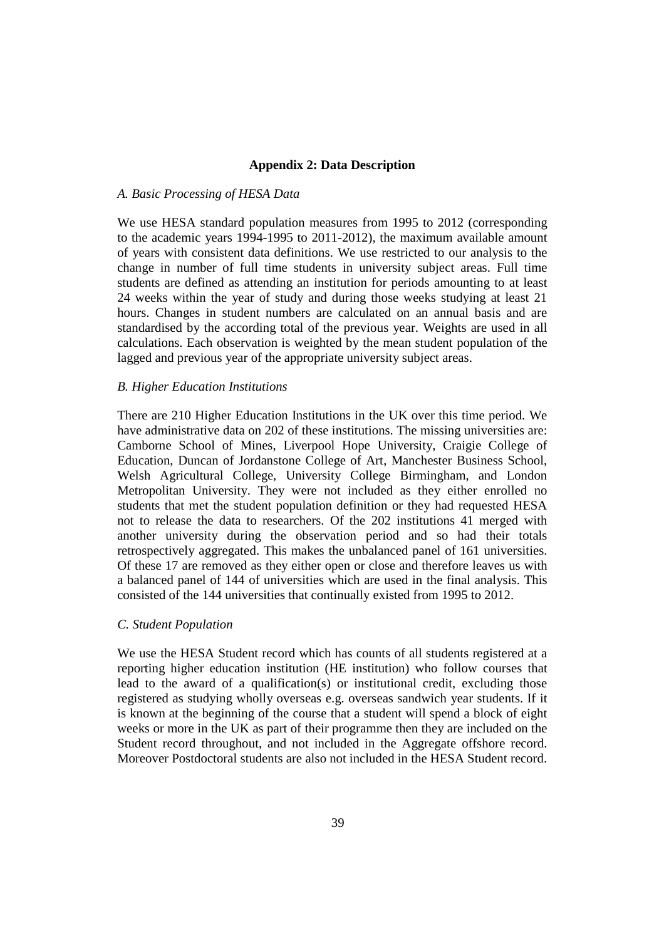#### **Appendix 2: Data Description**

#### *A. Basic Processing of HESA Data*

We use HESA standard population measures from 1995 to 2012 (corresponding to the academic years 1994-1995 to 2011-2012), the maximum available amount of years with consistent data definitions. We use restricted to our analysis to the change in number of full time students in university subject areas. Full time students are defined as attending an institution for periods amounting to at least 24 weeks within the year of study and during those weeks studying at least 21 hours. Changes in student numbers are calculated on an annual basis and are standardised by the according total of the previous year. Weights are used in all calculations. Each observation is weighted by the mean student population of the lagged and previous year of the appropriate university subject areas.

#### *B. Higher Education Institutions*

There are 210 Higher Education Institutions in the UK over this time period. We have administrative data on 202 of these institutions. The missing universities are: Camborne School of Mines, Liverpool Hope University, Craigie College of Education, Duncan of Jordanstone College of Art, Manchester Business School, Welsh Agricultural College, University College Birmingham, and London Metropolitan University. They were not included as they either enrolled no students that met the student population definition or they had requested HESA not to release the data to researchers. Of the 202 institutions 41 merged with another university during the observation period and so had their totals retrospectively aggregated. This makes the unbalanced panel of 161 universities. Of these 17 are removed as they either open or close and therefore leaves us with a balanced panel of 144 of universities which are used in the final analysis. This consisted of the 144 universities that continually existed from 1995 to 2012.

#### *C. Student Population*

We use the HESA Student record which has counts of all students registered at a reporting higher education institution (HE institution) who follow courses that lead to the award of a qualification(s) or institutional credit, excluding those registered as studying wholly overseas e.g. overseas sandwich year students. If it is known at the beginning of the course that a student will spend a block of eight weeks or more in the UK as part of their programme then they are included on the Student record throughout, and not included in the Aggregate offshore record. Moreover Postdoctoral students are also not included in the HESA Student record.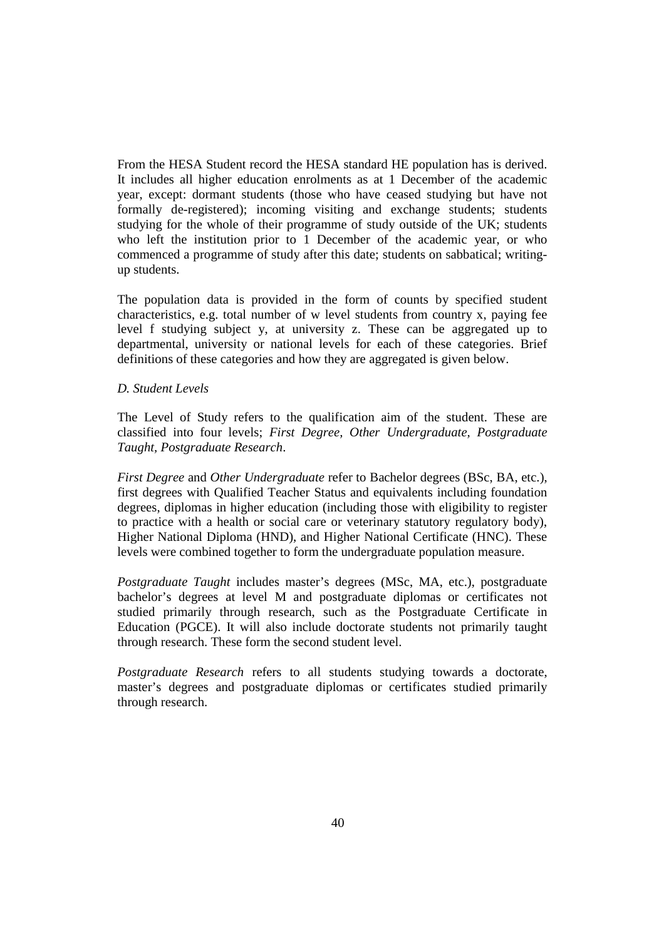From the HESA Student record the HESA standard HE population has is derived. It includes all higher education enrolments as at 1 December of the academic year, except: dormant students (those who have ceased studying but have not formally de-registered); incoming visiting and exchange students; students studying for the whole of their programme of study outside of the UK; students who left the institution prior to 1 December of the academic year, or who commenced a programme of study after this date; students on sabbatical; writingup students.

The population data is provided in the form of counts by specified student characteristics, e.g. total number of w level students from country x, paying fee level f studying subject y, at university z. These can be aggregated up to departmental, university or national levels for each of these categories. Brief definitions of these categories and how they are aggregated is given below.

## *D. Student Levels*

The Level of Study refers to the qualification aim of the student. These are classified into four levels; *First Degree, Other Undergraduate, Postgraduate Taught, Postgraduate Research*.

*First Degree* and *Other Undergraduate* refer to Bachelor degrees (BSc, BA, etc.), first degrees with Qualified Teacher Status and equivalents including foundation degrees, diplomas in higher education (including those with eligibility to register to practice with a health or social care or veterinary statutory regulatory body), Higher National Diploma (HND), and Higher National Certificate (HNC). These levels were combined together to form the undergraduate population measure.

*Postgraduate Taught* includes master's degrees (MSc, MA, etc.), postgraduate bachelor's degrees at level M and postgraduate diplomas or certificates not studied primarily through research, such as the Postgraduate Certificate in Education (PGCE). It will also include doctorate students not primarily taught through research. These form the second student level.

*Postgraduate Research* refers to all students studying towards a doctorate, master's degrees and postgraduate diplomas or certificates studied primarily through research.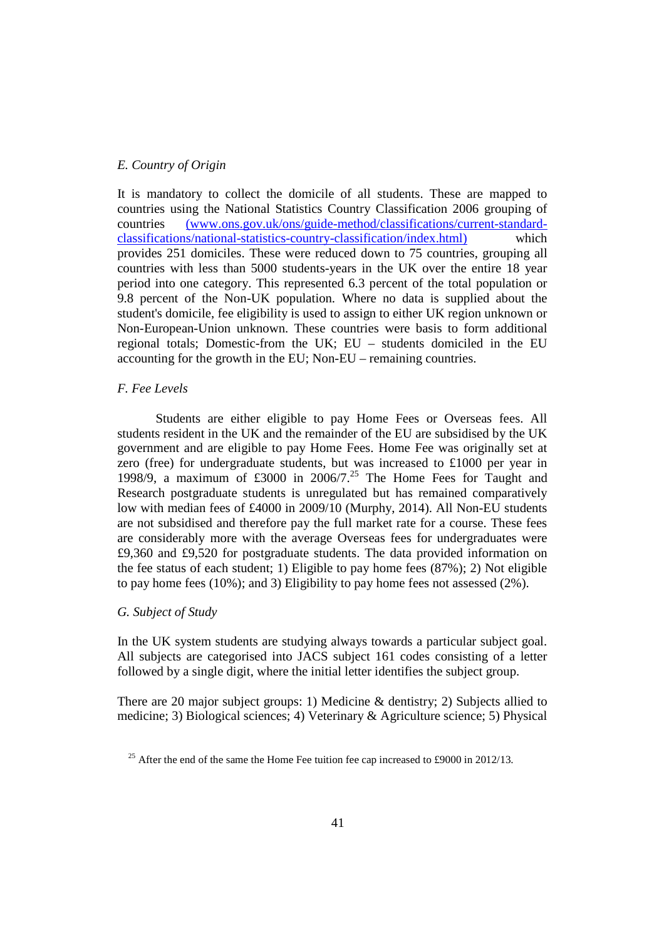#### *E. Country of Origin*

It is mandatory to collect the domicile of all students. These are mapped to countries using the National Statistics Country Classification 2006 grouping of countries (www.ons.gov.uk/ons/guide-method/classifications/current-standardclassifications/national-statistics-country-classification/index.html) which provides 251 domiciles. These were reduced down to 75 countries, grouping all countries with less than 5000 students-years in the UK over the entire 18 year period into one category. This represented 6.3 percent of the total population or 9.8 percent of the Non-UK population. Where no data is supplied about the student's domicile, fee eligibility is used to assign to either UK region unknown or Non-European-Union unknown. These countries were basis to form additional regional totals; Domestic-from the UK; EU – students domiciled in the EU accounting for the growth in the EU; Non-EU – remaining countries.

#### *F. Fee Levels*

Students are either eligible to pay Home Fees or Overseas fees. All students resident in the UK and the remainder of the EU are subsidised by the UK government and are eligible to pay Home Fees. Home Fee was originally set at zero (free) for undergraduate students, but was increased to £1000 per year in 1998/9, a maximum of  $\text{\pounds}3000$  in  $2006/7$ .<sup>25</sup> The Home Fees for Taught and Research postgraduate students is unregulated but has remained comparatively low with median fees of £4000 in 2009/10 (Murphy, 2014). All Non-EU students are not subsidised and therefore pay the full market rate for a course. These fees are considerably more with the average Overseas fees for undergraduates were £9,360 and £9,520 for postgraduate students. The data provided information on the fee status of each student; 1) Eligible to pay home fees (87%); 2) Not eligible to pay home fees (10%); and 3) Eligibility to pay home fees not assessed (2%).

#### *G. Subject of Study*

In the UK system students are studying always towards a particular subject goal. All subjects are categorised into JACS subject 161 codes consisting of a letter followed by a single digit, where the initial letter identifies the subject group.

There are 20 major subject groups: 1) Medicine & dentistry; 2) Subjects allied to medicine; 3) Biological sciences; 4) Veterinary & Agriculture science; 5) Physical

<sup>&</sup>lt;sup>25</sup> After the end of the same the Home Fee tuition fee cap increased to £9000 in 2012/13.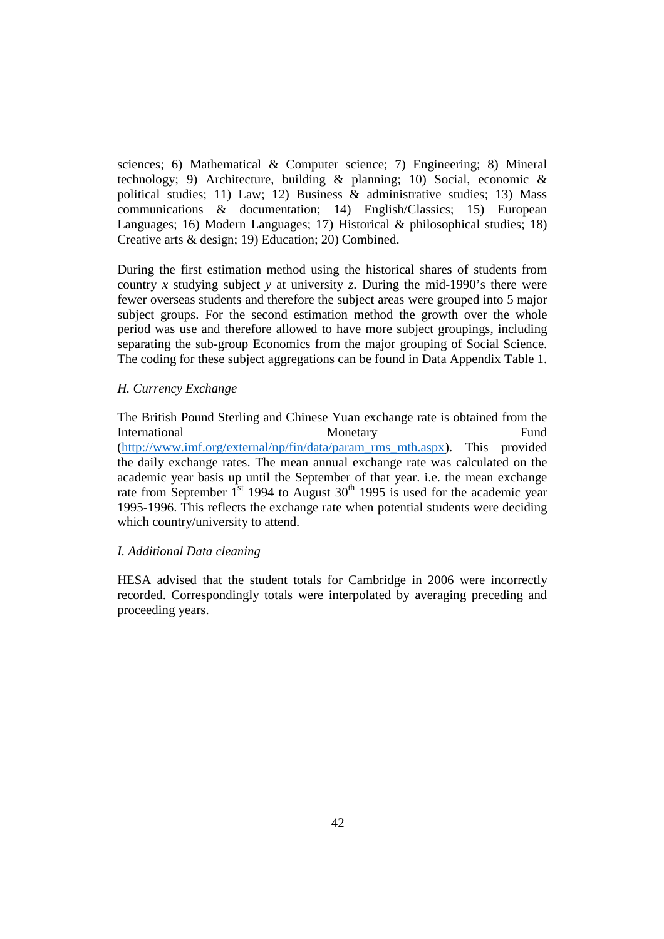sciences; 6) Mathematical & Computer science; 7) Engineering; 8) Mineral technology; 9) Architecture, building  $\&$  planning; 10) Social, economic  $\&$ political studies; 11) Law; 12) Business & administrative studies; 13) Mass communications & documentation; 14) English/Classics; 15) European Languages; 16) Modern Languages; 17) Historical & philosophical studies; 18) Creative arts & design; 19) Education; 20) Combined.

During the first estimation method using the historical shares of students from country *x* studying subject *y* at university *z*. During the mid-1990's there were fewer overseas students and therefore the subject areas were grouped into 5 major subject groups. For the second estimation method the growth over the whole period was use and therefore allowed to have more subject groupings, including separating the sub-group Economics from the major grouping of Social Science. The coding for these subject aggregations can be found in Data Appendix Table 1.

### *H. Currency Exchange*

The British Pound Sterling and Chinese Yuan exchange rate is obtained from the International Monetary Monetary Fund (http://www.imf.org/external/np/fin/data/param\_rms\_mth.aspx). This provided the daily exchange rates. The mean annual exchange rate was calculated on the academic year basis up until the September of that year. i.e. the mean exchange rate from September  $1^{st}$  1994 to August 30<sup>th</sup> 1995 is used for the academic year 1995-1996. This reflects the exchange rate when potential students were deciding which country/university to attend.

#### *I. Additional Data cleaning*

HESA advised that the student totals for Cambridge in 2006 were incorrectly recorded. Correspondingly totals were interpolated by averaging preceding and proceeding years.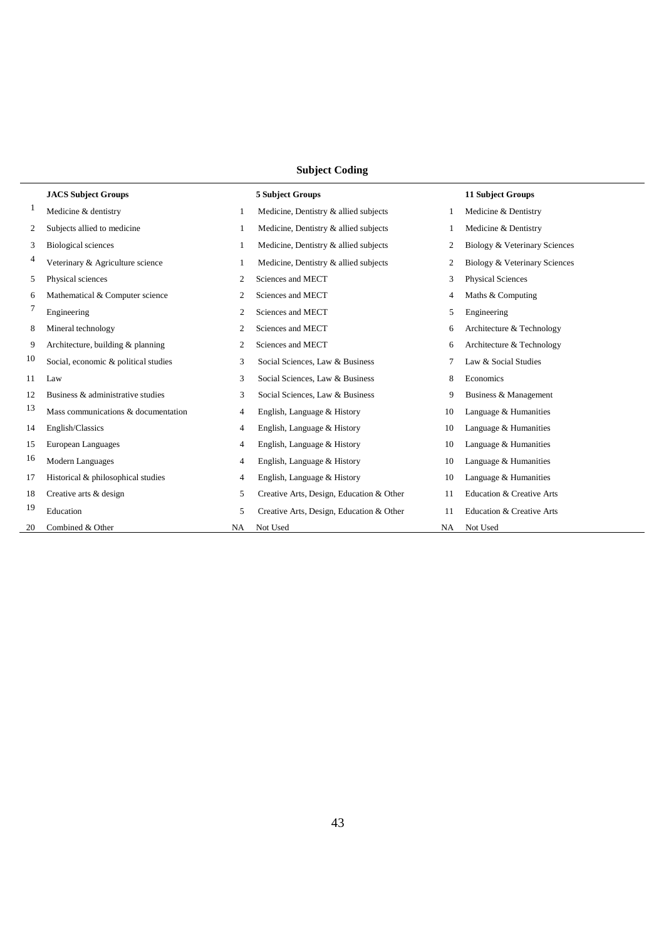# **Subject Coding**

|    | <b>JACS Subject Groups</b>           |                | <b>5 Subject Groups</b>                  |    | <b>11 Subject Groups</b>      |
|----|--------------------------------------|----------------|------------------------------------------|----|-------------------------------|
| 1  | Medicine & dentistry                 | -1             | Medicine, Dentistry & allied subjects    | 1  | Medicine & Dentistry          |
| 2  | Subjects allied to medicine          | 1              | Medicine, Dentistry & allied subjects    |    | Medicine & Dentistry          |
| 3  | <b>Biological sciences</b>           |                | Medicine, Dentistry & allied subjects    | 2  | Biology & Veterinary Sciences |
| 4  | Veterinary & Agriculture science     | -1             | Medicine, Dentistry & allied subjects    | 2  | Biology & Veterinary Sciences |
| 5  | Physical sciences                    | 2              | Sciences and MECT                        | 3  | <b>Physical Sciences</b>      |
| 6  | Mathematical & Computer science      | 2              | Sciences and MECT                        | 4  | Maths & Computing             |
| 7  | Engineering                          | 2              | Sciences and MECT                        | 5  | Engineering                   |
| 8  | Mineral technology                   | 2              | Sciences and MECT                        | 6  | Architecture & Technology     |
| 9  | Architecture, building & planning    | 2              | Sciences and MECT                        | 6  | Architecture & Technology     |
| 10 | Social, economic & political studies | 3              | Social Sciences, Law & Business          | 7  | Law & Social Studies          |
| 11 | Law                                  | 3              | Social Sciences, Law & Business          | 8  | Economics                     |
| 12 | Business & administrative studies    | 3              | Social Sciences, Law & Business          | 9  | Business & Management         |
| 13 | Mass communications & documentation  | 4              | English, Language & History              | 10 | Language & Humanities         |
| 14 | English/Classics                     | $\overline{4}$ | English, Language & History              | 10 | Language & Humanities         |
| 15 | European Languages                   | 4              | English, Language & History              | 10 | Language & Humanities         |
| 16 | Modern Languages                     | 4              | English, Language & History              | 10 | Language & Humanities         |
| 17 | Historical & philosophical studies   | 4              | English, Language & History              | 10 | Language & Humanities         |
| 18 | Creative arts & design               | 5              | Creative Arts, Design, Education & Other | 11 | Education & Creative Arts     |
| 19 | Education                            | 5              | Creative Arts, Design, Education & Other | 11 | Education & Creative Arts     |
| 20 | Combined & Other                     | NA             | Not Used                                 | NA | Not Used                      |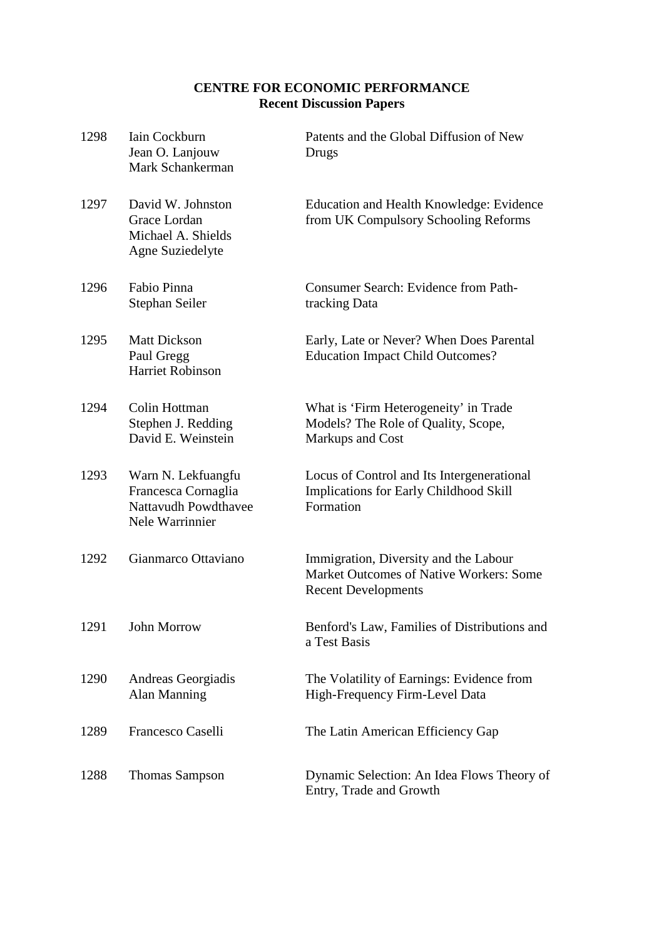# **CENTRE FOR ECONOMIC PERFORMANCE Recent Discussion Papers**

| 1298 | Iain Cockburn<br>Jean O. Lanjouw<br>Mark Schankerman                                 | Patents and the Global Diffusion of New<br>Drugs                                                               |
|------|--------------------------------------------------------------------------------------|----------------------------------------------------------------------------------------------------------------|
| 1297 | David W. Johnston<br>Grace Lordan<br>Michael A. Shields<br>Agne Suziedelyte          | Education and Health Knowledge: Evidence<br>from UK Compulsory Schooling Reforms                               |
| 1296 | Fabio Pinna<br>Stephan Seiler                                                        | <b>Consumer Search: Evidence from Path-</b><br>tracking Data                                                   |
| 1295 | <b>Matt Dickson</b><br>Paul Gregg<br><b>Harriet Robinson</b>                         | Early, Late or Never? When Does Parental<br><b>Education Impact Child Outcomes?</b>                            |
| 1294 | Colin Hottman<br>Stephen J. Redding<br>David E. Weinstein                            | What is 'Firm Heterogeneity' in Trade<br>Models? The Role of Quality, Scope,<br>Markups and Cost               |
| 1293 | Warn N. Lekfuangfu<br>Francesca Cornaglia<br>Nattavudh Powdthavee<br>Nele Warrinnier | Locus of Control and Its Intergenerational<br>Implications for Early Childhood Skill<br>Formation              |
| 1292 | Gianmarco Ottaviano                                                                  | Immigration, Diversity and the Labour<br>Market Outcomes of Native Workers: Some<br><b>Recent Developments</b> |
| 1291 | John Morrow                                                                          | Benford's Law, Families of Distributions and<br>a Test Basis                                                   |
| 1290 | Andreas Georgiadis<br>Alan Manning                                                   | The Volatility of Earnings: Evidence from<br>High-Frequency Firm-Level Data                                    |
| 1289 | Francesco Caselli                                                                    | The Latin American Efficiency Gap                                                                              |
| 1288 | <b>Thomas Sampson</b>                                                                | Dynamic Selection: An Idea Flows Theory of<br>Entry, Trade and Growth                                          |